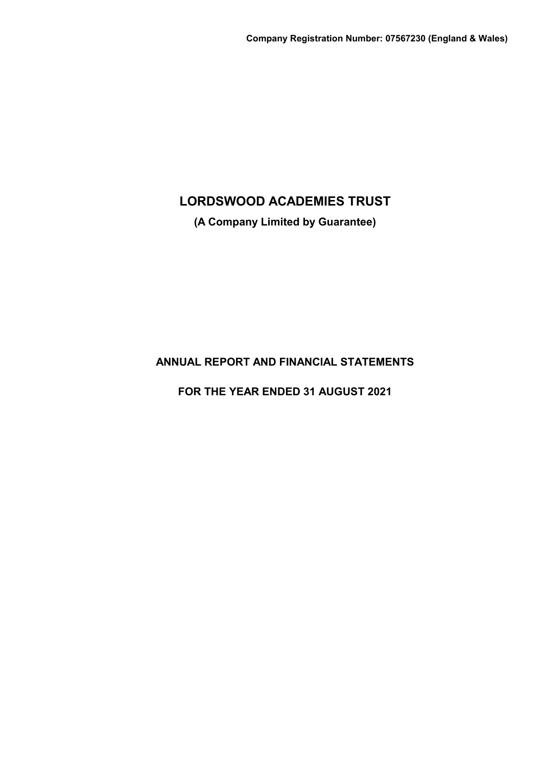**(A Company Limited by Guarantee)**

# **ANNUAL REPORT AND FINANCIAL STATEMENTS**

**FOR THE YEAR ENDED 31 AUGUST 2021**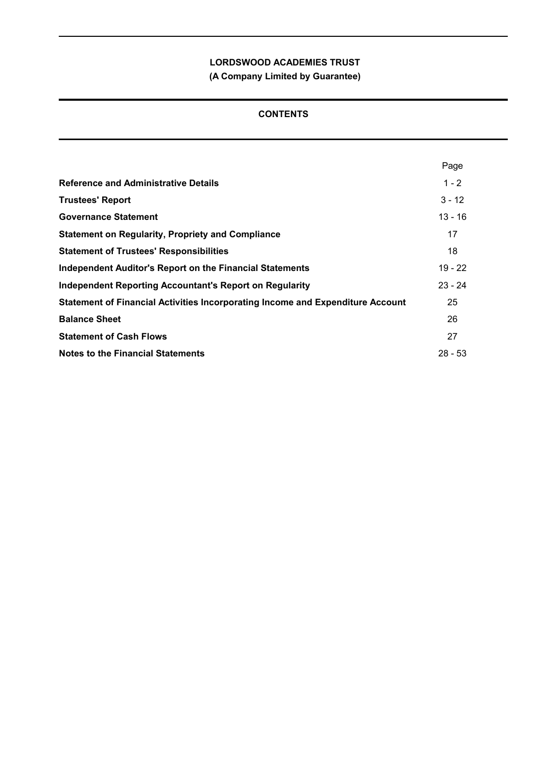**(A Company Limited by Guarantee)**

# **CONTENTS**

|                                                                                | Page      |
|--------------------------------------------------------------------------------|-----------|
| <b>Reference and Administrative Details</b>                                    | $1 - 2$   |
| <b>Trustees' Report</b>                                                        | $3 - 12$  |
| <b>Governance Statement</b>                                                    | $13 - 16$ |
| <b>Statement on Regularity, Propriety and Compliance</b>                       | 17        |
| <b>Statement of Trustees' Responsibilities</b>                                 | 18        |
| <b>Independent Auditor's Report on the Financial Statements</b>                | $19 - 22$ |
| <b>Independent Reporting Accountant's Report on Regularity</b>                 | $23 - 24$ |
| Statement of Financial Activities Incorporating Income and Expenditure Account | 25        |
| <b>Balance Sheet</b>                                                           | 26        |
| <b>Statement of Cash Flows</b>                                                 | 27        |
| <b>Notes to the Financial Statements</b>                                       | $28 - 53$ |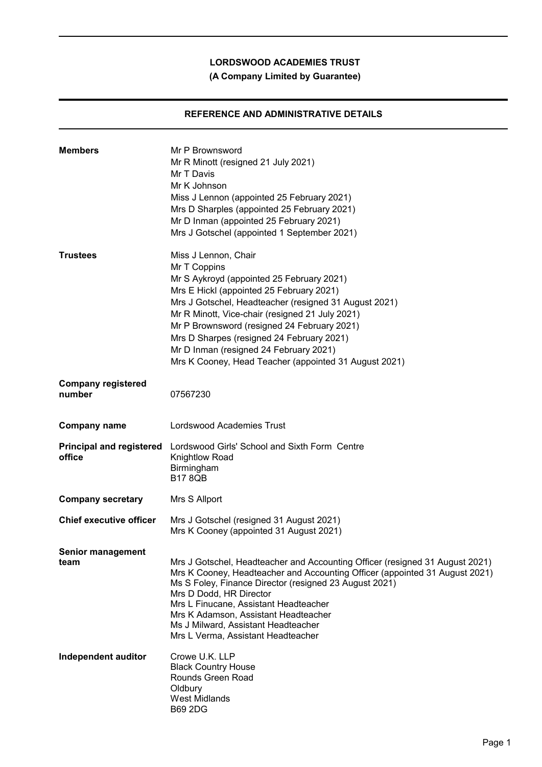**(A Company Limited by Guarantee)**

# **REFERENCE AND ADMINISTRATIVE DETAILS**

| <b>Members</b>                            | Mr P Brownsword<br>Mr R Minott (resigned 21 July 2021)<br>Mr T Davis<br>Mr K Johnson<br>Miss J Lennon (appointed 25 February 2021)<br>Mrs D Sharples (appointed 25 February 2021)<br>Mr D Inman (appointed 25 February 2021)<br>Mrs J Gotschel (appointed 1 September 2021)                                                                                                                                                              |
|-------------------------------------------|------------------------------------------------------------------------------------------------------------------------------------------------------------------------------------------------------------------------------------------------------------------------------------------------------------------------------------------------------------------------------------------------------------------------------------------|
| <b>Trustees</b>                           | Miss J Lennon, Chair<br>Mr T Coppins<br>Mr S Aykroyd (appointed 25 February 2021)<br>Mrs E Hickl (appointed 25 February 2021)<br>Mrs J Gotschel, Headteacher (resigned 31 August 2021)<br>Mr R Minott, Vice-chair (resigned 21 July 2021)<br>Mr P Brownsword (resigned 24 February 2021)<br>Mrs D Sharpes (resigned 24 February 2021)<br>Mr D Inman (resigned 24 February 2021)<br>Mrs K Cooney, Head Teacher (appointed 31 August 2021) |
| <b>Company registered</b><br>number       | 07567230                                                                                                                                                                                                                                                                                                                                                                                                                                 |
| <b>Company name</b>                       | Lordswood Academies Trust                                                                                                                                                                                                                                                                                                                                                                                                                |
| <b>Principal and registered</b><br>office | Lordswood Girls' School and Sixth Form Centre<br>Knightlow Road<br>Birmingham<br><b>B17 8QB</b>                                                                                                                                                                                                                                                                                                                                          |
| <b>Company secretary</b>                  | Mrs S Allport                                                                                                                                                                                                                                                                                                                                                                                                                            |
| <b>Chief executive officer</b>            | Mrs J Gotschel (resigned 31 August 2021)<br>Mrs K Cooney (appointed 31 August 2021)                                                                                                                                                                                                                                                                                                                                                      |
| <b>Senior management</b><br>team          | Mrs J Gotschel, Headteacher and Accounting Officer (resigned 31 August 2021)<br>Mrs K Cooney, Headteacher and Accounting Officer (appointed 31 August 2021)<br>Ms S Foley, Finance Director (resigned 23 August 2021)<br>Mrs D Dodd, HR Director<br>Mrs L Finucane, Assistant Headteacher<br>Mrs K Adamson, Assistant Headteacher<br>Ms J Milward, Assistant Headteacher<br>Mrs L Verma, Assistant Headteacher                           |
| Independent auditor                       | Crowe U.K. LLP<br><b>Black Country House</b><br>Rounds Green Road<br>Oldbury<br><b>West Midlands</b><br><b>B69 2DG</b>                                                                                                                                                                                                                                                                                                                   |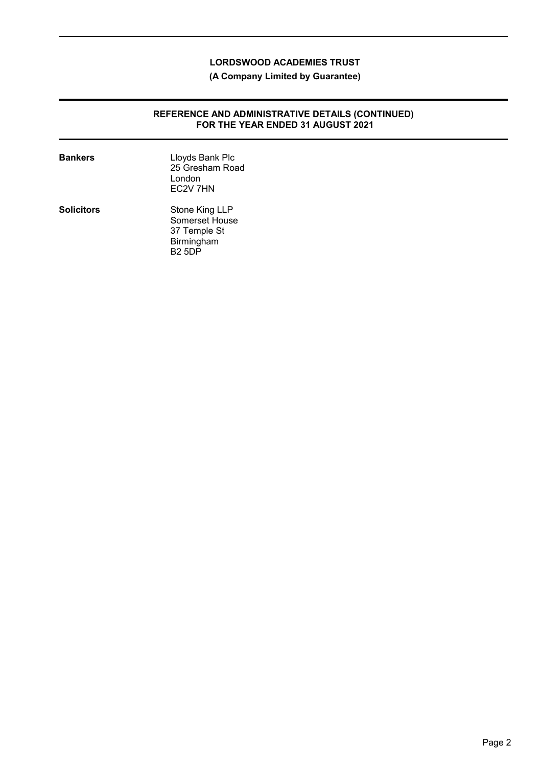**(A Company Limited by Guarantee)**

### **REFERENCE AND ADMINISTRATIVE DETAILS (CONTINUED) FOR THE YEAR ENDED 31 AUGUST 2021**

| <b>Bankers</b>    | Lloyds Bank Plc<br>25 Gresham Road<br>London<br>EC <sub>2V</sub> 7HN            |
|-------------------|---------------------------------------------------------------------------------|
| <b>Solicitors</b> | Stone King LLP<br>Somerset House<br>37 Temple St<br>Birmingham<br><b>B2 5DP</b> |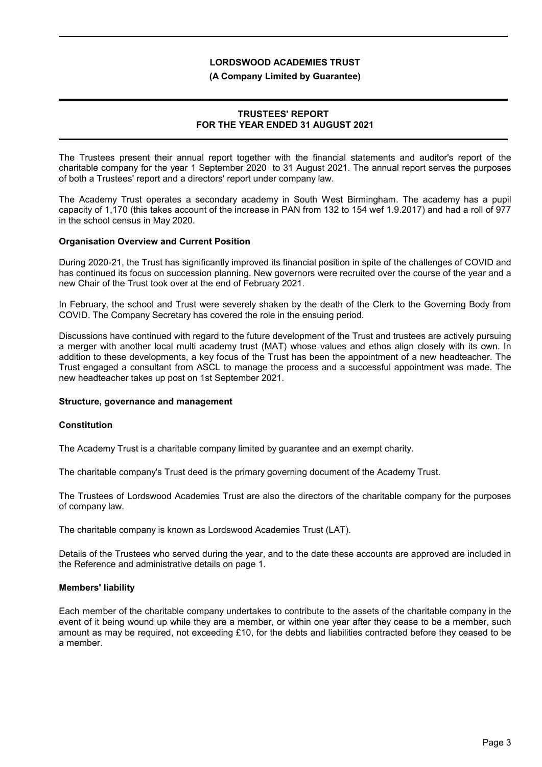#### **(A Company Limited by Guarantee)**

## **TRUSTEES' REPORT FOR THE YEAR ENDED 31 AUGUST 2021**

The Trustees present their annual report together with the financial statements and auditor's report of the charitable company for the year 1 September 2020 to 31 August 2021. The annual report serves the purposes of both a Trustees' report and a directors' report under company law.

The Academy Trust operates a secondary academy in South West Birmingham. The academy has a pupil capacity of 1,170 (this takes account of the increase in PAN from 132 to 154 wef 1.9.2017) and had a roll of 977 in the school census in May 2020.

### **Organisation Overview and Current Position**

During 2020-21, the Trust has significantly improved its financial position in spite of the challenges of COVID and has continued its focus on succession planning. New governors were recruited over the course of the year and a new Chair of the Trust took over at the end of February 2021.

In February, the school and Trust were severely shaken by the death of the Clerk to the Governing Body from COVID. The Company Secretary has covered the role in the ensuing period.

Discussions have continued with regard to the future development of the Trust and trustees are actively pursuing a merger with another local multi academy trust (MAT) whose values and ethos align closely with its own. In addition to these developments, a key focus of the Trust has been the appointment of a new headteacher. The Trust engaged a consultant from ASCL to manage the process and a successful appointment was made. The new headteacher takes up post on 1st September 2021.

#### **Structure, governance and management**

## **Constitution**

The Academy Trust is a charitable company limited by guarantee and an exempt charity.

The charitable company's Trust deed is the primary governing document of the Academy Trust.

The Trustees of Lordswood Academies Trust are also the directors of the charitable company for the purposes of company law.

The charitable company is known as Lordswood Academies Trust (LAT).

Details of the Trustees who served during the year, and to the date these accounts are approved are included in the Reference and administrative details on page 1.

## **Members' liability**

Each member of the charitable company undertakes to contribute to the assets of the charitable company in the event of it being wound up while they are a member, or within one year after they cease to be a member, such amount as may be required, not exceeding £10, for the debts and liabilities contracted before they ceased to be a member.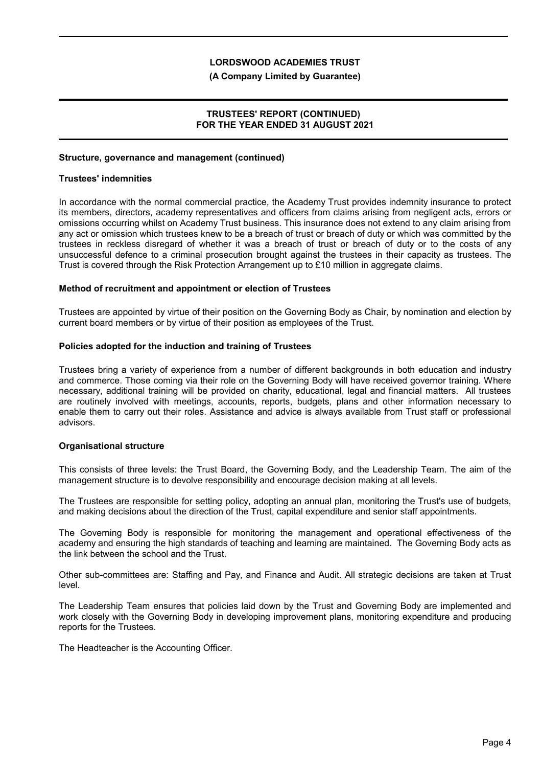#### **(A Company Limited by Guarantee)**

### **TRUSTEES' REPORT (CONTINUED) FOR THE YEAR ENDED 31 AUGUST 2021**

#### **Structure, governance and management (continued)**

#### **Trustees' indemnities**

In accordance with the normal commercial practice, the Academy Trust provides indemnity insurance to protect its members, directors, academy representatives and officers from claims arising from negligent acts, errors or omissions occurring whilst on Academy Trust business. This insurance does not extend to any claim arising from any act or omission which trustees knew to be a breach of trust or breach of duty or which was committed by the trustees in reckless disregard of whether it was a breach of trust or breach of duty or to the costs of any unsuccessful defence to a criminal prosecution brought against the trustees in their capacity as trustees. The Trust is covered through the Risk Protection Arrangement up to £10 million in aggregate claims.

#### **Method of recruitment and appointment or election of Trustees**

Trustees are appointed by virtue of their position on the Governing Body as Chair, by nomination and election by current board members or by virtue of their position as employees of the Trust.

#### **Policies adopted for the induction and training of Trustees**

Trustees bring a variety of experience from a number of different backgrounds in both education and industry and commerce. Those coming via their role on the Governing Body will have received governor training. Where necessary, additional training will be provided on charity, educational, legal and financial matters. All trustees are routinely involved with meetings, accounts, reports, budgets, plans and other information necessary to enable them to carry out their roles. Assistance and advice is always available from Trust staff or professional advisors.

#### **Organisational structure**

This consists of three levels: the Trust Board, the Governing Body, and the Leadership Team. The aim of the management structure is to devolve responsibility and encourage decision making at all levels.

The Trustees are responsible for setting policy, adopting an annual plan, monitoring the Trust's use of budgets, and making decisions about the direction of the Trust, capital expenditure and senior staff appointments.

The Governing Body is responsible for monitoring the management and operational effectiveness of the academy and ensuring the high standards of teaching and learning are maintained. The Governing Body acts as the link between the school and the Trust.

Other sub-committees are: Staffing and Pay, and Finance and Audit. All strategic decisions are taken at Trust level.

The Leadership Team ensures that policies laid down by the Trust and Governing Body are implemented and work closely with the Governing Body in developing improvement plans, monitoring expenditure and producing reports for the Trustees.

The Headteacher is the Accounting Officer.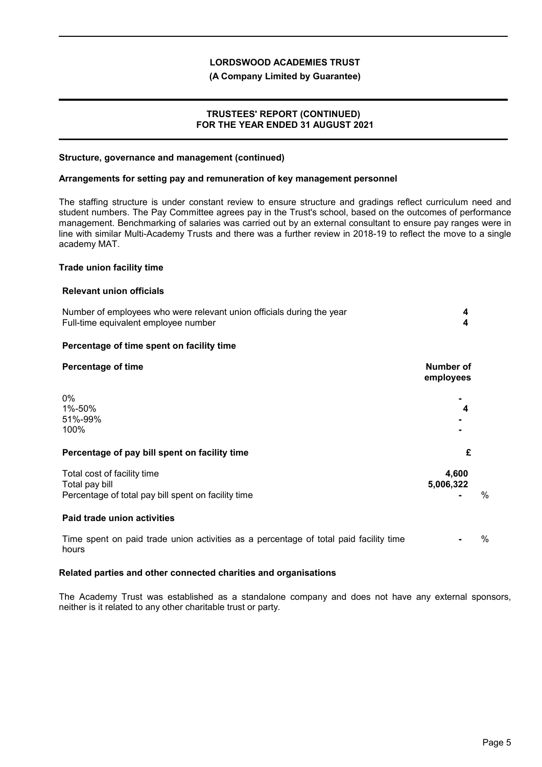### **(A Company Limited by Guarantee)**

### **TRUSTEES' REPORT (CONTINUED) FOR THE YEAR ENDED 31 AUGUST 2021**

#### **Structure, governance and management (continued)**

#### **Arrangements for setting pay and remuneration of key management personnel**

The staffing structure is under constant review to ensure structure and gradings reflect curriculum need and student numbers. The Pay Committee agrees pay in the Trust's school, based on the outcomes of performance management. Benchmarking of salaries was carried out by an external consultant to ensure pay ranges were in line with similar Multi-Academy Trusts and there was a further review in 2018-19 to reflect the move to a single academy MAT.

#### **Trade union facility time**

#### **Relevant union officials**

| Number of employees who were relevant union officials during the year<br>Full-time equivalent employee number | 4<br>4                 |               |
|---------------------------------------------------------------------------------------------------------------|------------------------|---------------|
| Percentage of time spent on facility time                                                                     |                        |               |
| <b>Percentage of time</b>                                                                                     | Number of<br>employees |               |
| $0\%$<br>1%-50%<br>51%-99%<br>100%                                                                            | 4                      |               |
| Percentage of pay bill spent on facility time                                                                 | £                      |               |
| Total cost of facility time<br>Total pay bill<br>Percentage of total pay bill spent on facility time          | 4,600<br>5,006,322     | $\frac{0}{0}$ |
| Paid trade union activities                                                                                   |                        |               |
| Time spent on paid trade union activities as a percentage of total paid facility time<br>hours                |                        | $\%$          |

#### **Related parties and other connected charities and organisations**

The Academy Trust was established as a standalone company and does not have any external sponsors, neither is it related to any other charitable trust or party.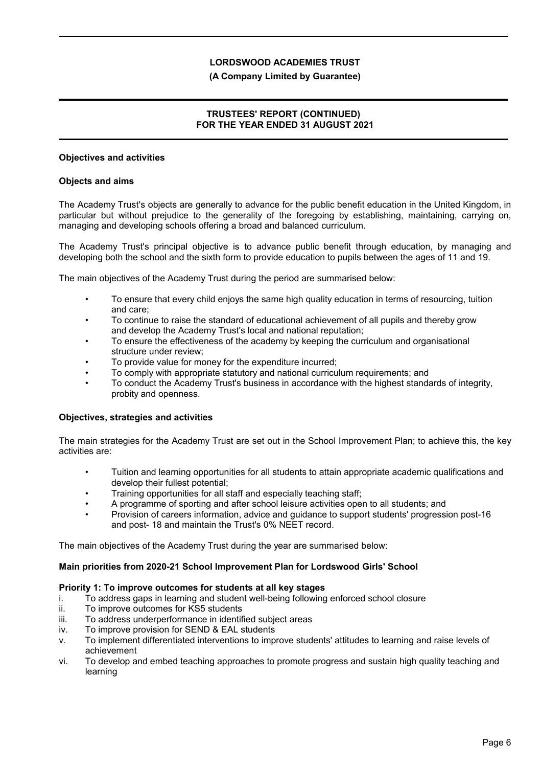### **(A Company Limited by Guarantee)**

## **TRUSTEES' REPORT (CONTINUED) FOR THE YEAR ENDED 31 AUGUST 2021**

### **Objectives and activities**

### **Objects and aims**

The Academy Trust's objects are generally to advance for the public benefit education in the United Kingdom, in particular but without prejudice to the generality of the foregoing by establishing, maintaining, carrying on, managing and developing schools offering a broad and balanced curriculum.

The Academy Trust's principal objective is to advance public benefit through education, by managing and developing both the school and the sixth form to provide education to pupils between the ages of 11 and 19.

The main objectives of the Academy Trust during the period are summarised below:

- To ensure that every child enjoys the same high quality education in terms of resourcing, tuition and care;
- To continue to raise the standard of educational achievement of all pupils and thereby grow and develop the Academy Trust's local and national reputation;
- To ensure the effectiveness of the academy by keeping the curriculum and organisational structure under review;
- To provide value for money for the expenditure incurred;
- To comply with appropriate statutory and national curriculum requirements; and
- To conduct the Academy Trust's business in accordance with the highest standards of integrity, probity and openness.

#### **Objectives, strategies and activities**

The main strategies for the Academy Trust are set out in the School Improvement Plan; to achieve this, the key activities are:

- Tuition and learning opportunities for all students to attain appropriate academic qualifications and develop their fullest potential;
- Training opportunities for all staff and especially teaching staff;
- A programme of sporting and after school leisure activities open to all students; and
- Provision of careers information, advice and guidance to support students' progression post-16 and post- 18 and maintain the Trust's 0% NEET record.

The main objectives of the Academy Trust during the year are summarised below:

## **Main priorities from 2020-21 School Improvement Plan for Lordswood Girls' School**

#### **Priority 1: To improve outcomes for students at all key stages**

- i. To address gaps in learning and student well-being following enforced school closure
- ii. To improve outcomes for KS5 students
- iii. To address underperformance in identified subject areas
- iv. To improve provision for SEND & EAL students
- v. To implement differentiated interventions to improve students' attitudes to learning and raise levels of achievement
- vi. To develop and embed teaching approaches to promote progress and sustain high quality teaching and learning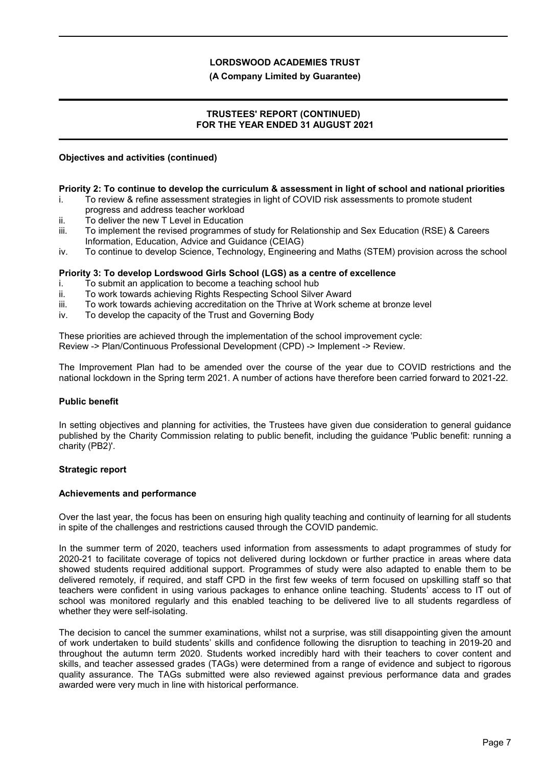### **(A Company Limited by Guarantee)**

### **TRUSTEES' REPORT (CONTINUED) FOR THE YEAR ENDED 31 AUGUST 2021**

### **Objectives and activities (continued)**

### **Priority 2: To continue to develop the curriculum & assessment in light of school and national priorities**

- i. To review & refine assessment strategies in light of COVID risk assessments to promote student progress and address teacher workload
- ii. To deliver the new T Level in Education
- iii. To implement the revised programmes of study for Relationship and Sex Education (RSE) & Careers Information, Education, Advice and Guidance (CEIAG)
- iv. To continue to develop Science, Technology, Engineering and Maths (STEM) provision across the school

### **Priority 3: To develop Lordswood Girls School (LGS) as a centre of excellence**

- i. To submit an application to become a teaching school hub
- ii. To work towards achieving Rights Respecting School Silver Award
- iii. To work towards achieving accreditation on the Thrive at Work scheme at bronze level
- iv. To develop the capacity of the Trust and Governing Body

These priorities are achieved through the implementation of the school improvement cycle: Review -> Plan/Continuous Professional Development (CPD) -> Implement -> Review.

The Improvement Plan had to be amended over the course of the year due to COVID restrictions and the national lockdown in the Spring term 2021. A number of actions have therefore been carried forward to 2021-22.

## **Public benefit**

In setting objectives and planning for activities, the Trustees have given due consideration to general guidance published by the Charity Commission relating to public benefit, including the guidance 'Public benefit: running a charity (PB2)'.

## **Strategic report**

#### **Achievements and performance**

Over the last year, the focus has been on ensuring high quality teaching and continuity of learning for all students in spite of the challenges and restrictions caused through the COVID pandemic.

In the summer term of 2020, teachers used information from assessments to adapt programmes of study for 2020-21 to facilitate coverage of topics not delivered during lockdown or further practice in areas where data showed students required additional support. Programmes of study were also adapted to enable them to be delivered remotely, if required, and staff CPD in the first few weeks of term focused on upskilling staff so that teachers were confident in using various packages to enhance online teaching. Students' access to IT out of school was monitored regularly and this enabled teaching to be delivered live to all students regardless of whether they were self-isolating.

The decision to cancel the summer examinations, whilst not a surprise, was still disappointing given the amount of work undertaken to build students' skills and confidence following the disruption to teaching in 2019-20 and throughout the autumn term 2020. Students worked incredibly hard with their teachers to cover content and skills, and teacher assessed grades (TAGs) were determined from a range of evidence and subject to rigorous quality assurance. The TAGs submitted were also reviewed against previous performance data and grades awarded were very much in line with historical performance.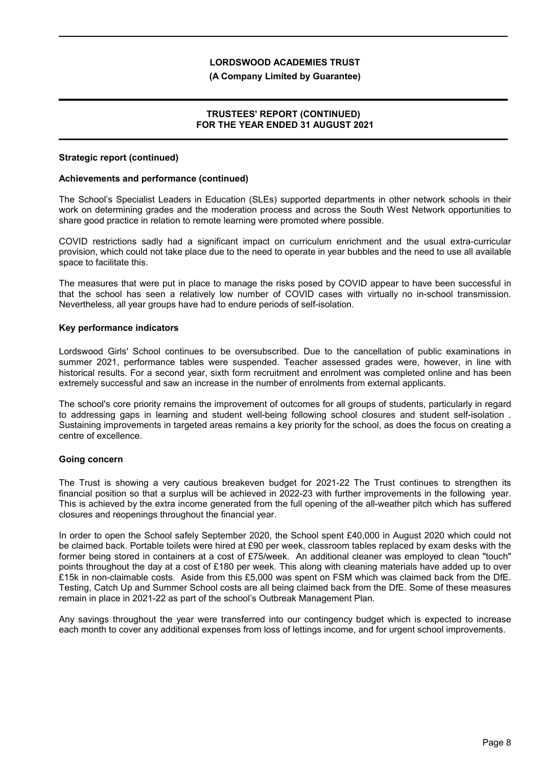#### **(A Company Limited by Guarantee)**

### **TRUSTEES' REPORT (CONTINUED) FOR THE YEAR ENDED 31 AUGUST 2021**

#### **Strategic report (continued)**

### **Achievements and performance (continued)**

The School's Specialist Leaders in Education (SLEs) supported departments in other network schools in their work on determining grades and the moderation process and across the South West Network opportunities to share good practice in relation to remote learning were promoted where possible.

COVID restrictions sadly had a significant impact on curriculum enrichment and the usual extra-curricular provision, which could not take place due to the need to operate in year bubbles and the need to use all available space to facilitate this.

The measures that were put in place to manage the risks posed by COVID appear to have been successful in that the school has seen a relatively low number of COVID cases with virtually no in-school transmission. Nevertheless, all year groups have had to endure periods of self-isolation.

### **Key performance indicators**

Lordswood Girls' School continues to be oversubscribed. Due to the cancellation of public examinations in summer 2021, performance tables were suspended. Teacher assessed grades were, however, in line with historical results. For a second year, sixth form recruitment and enrolment was completed online and has been extremely successful and saw an increase in the number of enrolments from external applicants.

The school's core priority remains the improvement of outcomes for all groups of students, particularly in regard to addressing gaps in learning and student well-being following school closures and student self-isolation . Sustaining improvements in targeted areas remains a key priority for the school, as does the focus on creating a centre of excellence.

## **Going concern**

The Trust is showing a very cautious breakeven budget for 2021-22 The Trust continues to strengthen its financial position so that a surplus will be achieved in 2022-23 with further improvements in the following year. This is achieved by the extra income generated from the full opening of the all-weather pitch which has suffered closures and reopenings throughout the financial year.

In order to open the School safely September 2020, the School spent £40,000 in August 2020 which could not be claimed back. Portable toilets were hired at £90 per week, classroom tables replaced by exam desks with the former being stored in containers at a cost of £75/week. An additional cleaner was employed to clean "touch" points throughout the day at a cost of £180 per week. This along with cleaning materials have added up to over £15k in non-claimable costs. Aside from this £5,000 was spent on FSM which was claimed back from the DfE. Testing, Catch Up and Summer School costs are all being claimed back from the DfE. Some of these measures remain in place in 2021-22 as part of the school's Outbreak Management Plan.

Any savings throughout the year were transferred into our contingency budget which is expected to increase each month to cover any additional expenses from loss of lettings income, and for urgent school improvements.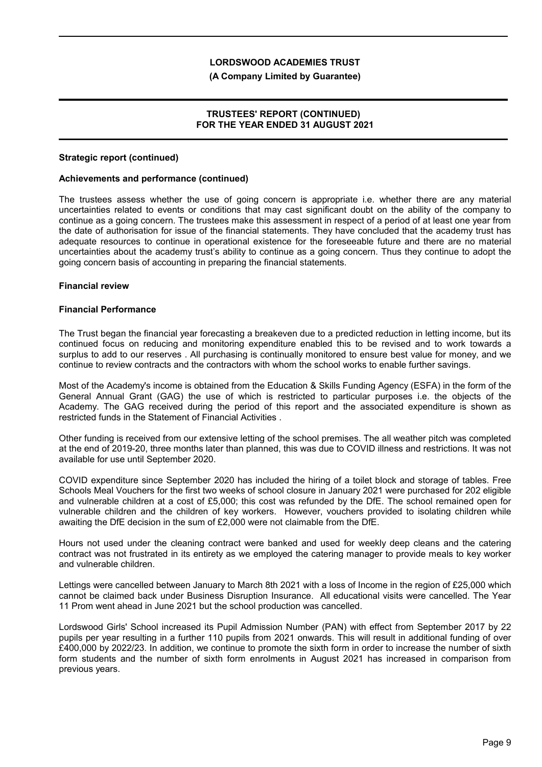#### **(A Company Limited by Guarantee)**

### **TRUSTEES' REPORT (CONTINUED) FOR THE YEAR ENDED 31 AUGUST 2021**

#### **Strategic report (continued)**

#### **Achievements and performance (continued)**

The trustees assess whether the use of going concern is appropriate i.e. whether there are any material uncertainties related to events or conditions that may cast significant doubt on the ability of the company to continue as a going concern. The trustees make this assessment in respect of a period of at least one year from the date of authorisation for issue of the financial statements. They have concluded that the academy trust has adequate resources to continue in operational existence for the foreseeable future and there are no material uncertainties about the academy trust's ability to continue as a going concern. Thus they continue to adopt the going concern basis of accounting in preparing the financial statements.

#### **Financial review**

#### **Financial Performance**

The Trust began the financial year forecasting a breakeven due to a predicted reduction in letting income, but its continued focus on reducing and monitoring expenditure enabled this to be revised and to work towards a surplus to add to our reserves . All purchasing is continually monitored to ensure best value for money, and we continue to review contracts and the contractors with whom the school works to enable further savings.

Most of the Academy's income is obtained from the Education & Skills Funding Agency (ESFA) in the form of the General Annual Grant (GAG) the use of which is restricted to particular purposes i.e. the objects of the Academy. The GAG received during the period of this report and the associated expenditure is shown as restricted funds in the Statement of Financial Activities .

Other funding is received from our extensive letting of the school premises. The all weather pitch was completed at the end of 2019-20, three months later than planned, this was due to COVID illness and restrictions. It was not available for use until September 2020.

COVID expenditure since September 2020 has included the hiring of a toilet block and storage of tables. Free Schools Meal Vouchers for the first two weeks of school closure in January 2021 were purchased for 202 eligible and vulnerable children at a cost of £5,000; this cost was refunded by the DfE. The school remained open for vulnerable children and the children of key workers. However, vouchers provided to isolating children while awaiting the DfE decision in the sum of £2,000 were not claimable from the DfE.

Hours not used under the cleaning contract were banked and used for weekly deep cleans and the catering contract was not frustrated in its entirety as we employed the catering manager to provide meals to key worker and vulnerable children.

Lettings were cancelled between January to March 8th 2021 with a loss of Income in the region of £25,000 which cannot be claimed back under Business Disruption Insurance. All educational visits were cancelled. The Year 11 Prom went ahead in June 2021 but the school production was cancelled.

Lordswood Girls' School increased its Pupil Admission Number (PAN) with effect from September 2017 by 22 pupils per year resulting in a further 110 pupils from 2021 onwards. This will result in additional funding of over £400,000 by 2022/23. In addition, we continue to promote the sixth form in order to increase the number of sixth form students and the number of sixth form enrolments in August 2021 has increased in comparison from previous years.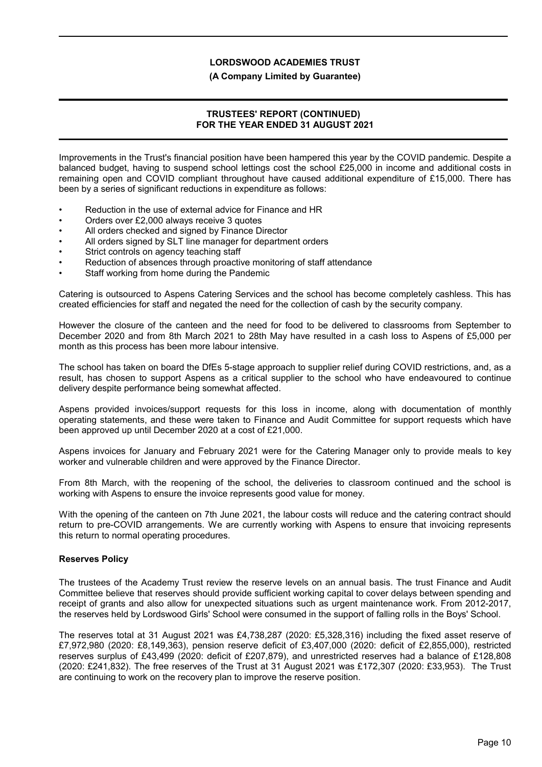#### **(A Company Limited by Guarantee)**

### **TRUSTEES' REPORT (CONTINUED) FOR THE YEAR ENDED 31 AUGUST 2021**

Improvements in the Trust's financial position have been hampered this year by the COVID pandemic. Despite a balanced budget, having to suspend school lettings cost the school £25,000 in income and additional costs in remaining open and COVID compliant throughout have caused additional expenditure of £15,000. There has been by a series of significant reductions in expenditure as follows:

- Reduction in the use of external advice for Finance and HR
- Orders over £2,000 always receive 3 quotes
- All orders checked and signed by Finance Director
- All orders signed by SLT line manager for department orders
- Strict controls on agency teaching staff
- Reduction of absences through proactive monitoring of staff attendance
- Staff working from home during the Pandemic

Catering is outsourced to Aspens Catering Services and the school has become completely cashless. This has created efficiencies for staff and negated the need for the collection of cash by the security company.

However the closure of the canteen and the need for food to be delivered to classrooms from September to December 2020 and from 8th March 2021 to 28th May have resulted in a cash loss to Aspens of £5,000 per month as this process has been more labour intensive.

The school has taken on board the DfEs 5-stage approach to supplier relief during COVID restrictions, and, as a result, has chosen to support Aspens as a critical supplier to the school who have endeavoured to continue delivery despite performance being somewhat affected.

Aspens provided invoices/support requests for this loss in income, along with documentation of monthly operating statements, and these were taken to Finance and Audit Committee for support requests which have been approved up until December 2020 at a cost of £21,000.

Aspens invoices for January and February 2021 were for the Catering Manager only to provide meals to key worker and vulnerable children and were approved by the Finance Director.

From 8th March, with the reopening of the school, the deliveries to classroom continued and the school is working with Aspens to ensure the invoice represents good value for money.

With the opening of the canteen on 7th June 2021, the labour costs will reduce and the catering contract should return to pre-COVID arrangements. We are currently working with Aspens to ensure that invoicing represents this return to normal operating procedures.

## **Reserves Policy**

The trustees of the Academy Trust review the reserve levels on an annual basis. The trust Finance and Audit Committee believe that reserves should provide sufficient working capital to cover delays between spending and receipt of grants and also allow for unexpected situations such as urgent maintenance work. From 2012-2017, the reserves held by Lordswood Girls' School were consumed in the support of falling rolls in the Boys' School.

The reserves total at 31 August 2021 was £4,738,287 (2020: £5,328,316) including the fixed asset reserve of £7,972,980 (2020: £8,149,363), pension reserve deficit of £3,407,000 (2020: deficit of £2,855,000), restricted reserves surplus of £43,499 (2020: deficit of £207,879), and unrestricted reserves had a balance of £128,808 (2020: £241,832). The free reserves of the Trust at 31 August 2021 was £172,307 (2020: £33,953). The Trust are continuing to work on the recovery plan to improve the reserve position.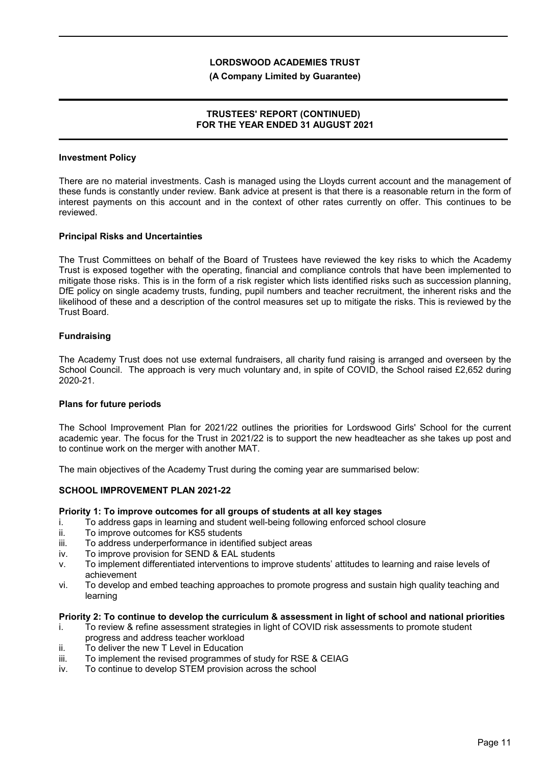#### **(A Company Limited by Guarantee)**

### **TRUSTEES' REPORT (CONTINUED) FOR THE YEAR ENDED 31 AUGUST 2021**

### **Investment Policy**

There are no material investments. Cash is managed using the Lloyds current account and the management of these funds is constantly under review. Bank advice at present is that there is a reasonable return in the form of interest payments on this account and in the context of other rates currently on offer. This continues to be reviewed.

### **Principal Risks and Uncertainties**

The Trust Committees on behalf of the Board of Trustees have reviewed the key risks to which the Academy Trust is exposed together with the operating, financial and compliance controls that have been implemented to mitigate those risks. This is in the form of a risk register which lists identified risks such as succession planning, DfE policy on single academy trusts, funding, pupil numbers and teacher recruitment, the inherent risks and the likelihood of these and a description of the control measures set up to mitigate the risks. This is reviewed by the Trust Board.

### **Fundraising**

The Academy Trust does not use external fundraisers, all charity fund raising is arranged and overseen by the School Council. The approach is very much voluntary and, in spite of COVID, the School raised £2,652 during 2020-21.

#### **Plans for future periods**

The School Improvement Plan for 2021/22 outlines the priorities for Lordswood Girls' School for the current academic year. The focus for the Trust in 2021/22 is to support the new headteacher as she takes up post and to continue work on the merger with another MAT.

The main objectives of the Academy Trust during the coming year are summarised below:

#### **SCHOOL IMPROVEMENT PLAN 2021-22**

### **Priority 1: To improve outcomes for all groups of students at all key stages**

- i. To address gaps in learning and student well-being following enforced school closure
- ii. To improve outcomes for KS5 students
- iii. To address underperformance in identified subject areas
- iv. To improve provision for SEND & EAL students
- v. To implement differentiated interventions to improve students' attitudes to learning and raise levels of achievement
- vi. To develop and embed teaching approaches to promote progress and sustain high quality teaching and learning

#### **Priority 2: To continue to develop the curriculum & assessment in light of school and national priorities**

- i. To review & refine assessment strategies in light of COVID risk assessments to promote student progress and address teacher workload
- ii. To deliver the new T Level in Education
- iii. To implement the revised programmes of study for RSE & CEIAG
- iv. To continue to develop STEM provision across the school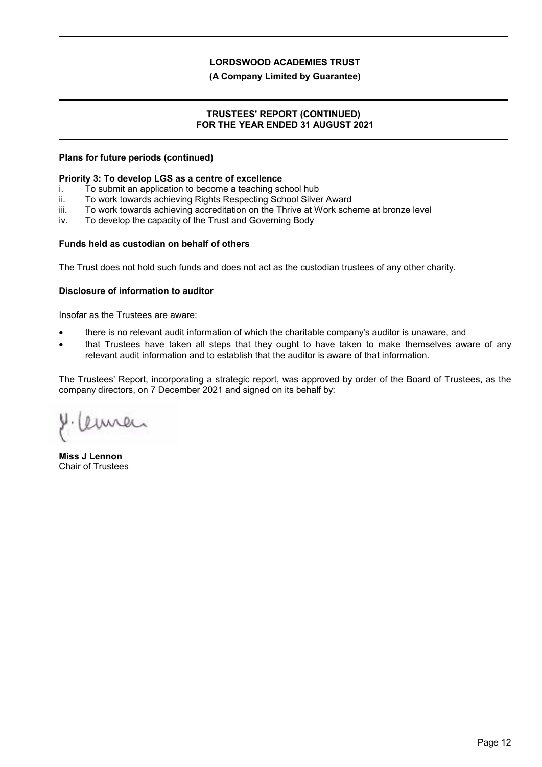### **(A Company Limited by Guarantee)**

### **TRUSTEES' REPORT (CONTINUED) FOR THE YEAR ENDED 31 AUGUST 2021**

### **Plans for future periods (continued)**

#### **Priority 3: To develop LGS as a centre of excellence**

- i. To submit an application to become a teaching school hub
- ii. To work towards achieving Rights Respecting School Silver Award
- iii. To work towards achieving accreditation on the Thrive at Work scheme at bronze level
- iv. To develop the capacity of the Trust and Governing Body

### **Funds held as custodian on behalf of others**

The Trust does not hold such funds and does not act as the custodian trustees of any other charity.

### **Disclosure of information to auditor**

Insofar as the Trustees are aware:

- there is no relevant audit information of which the charitable company's auditor is unaware, and
- that Trustees have taken all steps that they ought to have taken to make themselves aware of any relevant audit information and to establish that the auditor is aware of that information.

The Trustees' Report, incorporating a strategic report, was approved by order of the Board of Trustees, as the company directors, on 7 December 2021 and signed on its behalf by:

amer

**Miss J Lennon** Chair of Trustees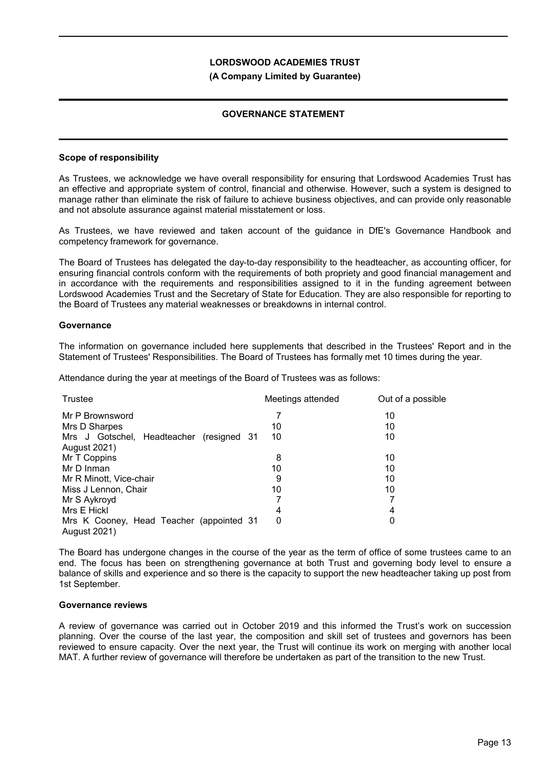#### **(A Company Limited by Guarantee)**

## **GOVERNANCE STATEMENT**

### **Scope of responsibility**

As Trustees, we acknowledge we have overall responsibility for ensuring that Lordswood Academies Trust has an effective and appropriate system of control, financial and otherwise. However, such a system is designed to manage rather than eliminate the risk of failure to achieve business objectives, and can provide only reasonable and not absolute assurance against material misstatement or loss.

As Trustees, we have reviewed and taken account of the guidance in DfE's Governance Handbook and competency framework for governance.

The Board of Trustees has delegated the day-to-day responsibility to the headteacher, as accounting officer, for ensuring financial controls conform with the requirements of both propriety and good financial management and in accordance with the requirements and responsibilities assigned to it in the funding agreement between Lordswood Academies Trust and the Secretary of State for Education. They are also responsible for reporting to the Board of Trustees any material weaknesses or breakdowns in internal control.

#### **Governance**

The information on governance included here supplements that described in the Trustees' Report and in the Statement of Trustees' Responsibilities. The Board of Trustees has formally met 10 times during the year.

Attendance during the year at meetings of the Board of Trustees was as follows:

| Trustee                                                         | Meetings attended | Out of a possible |
|-----------------------------------------------------------------|-------------------|-------------------|
| Mr P Brownsword                                                 |                   | 10                |
| Mrs D Sharpes                                                   | 10                | 10                |
| Mrs J Gotschel, Headteacher (resigned 31<br><b>August 2021)</b> | 10                | 10                |
| Mr T Coppins                                                    | 8                 | 10                |
| Mr D Inman                                                      | 10                | 10                |
| Mr R Minott, Vice-chair                                         | 9                 | 10                |
| Miss J Lennon, Chair                                            | 10                | 10                |
| Mr S Aykroyd                                                    |                   |                   |
| Mrs E Hickl                                                     | 4                 | 4                 |
| Mrs K Cooney, Head Teacher (appointed 31<br>August 2021)        | 0                 | 0                 |

The Board has undergone changes in the course of the year as the term of office of some trustees came to an end. The focus has been on strengthening governance at both Trust and governing body level to ensure a balance of skills and experience and so there is the capacity to support the new headteacher taking up post from 1st September.

#### **Governance reviews**

A review of governance was carried out in October 2019 and this informed the Trust's work on succession planning. Over the course of the last year, the composition and skill set of trustees and governors has been reviewed to ensure capacity. Over the next year, the Trust will continue its work on merging with another local MAT. A further review of governance will therefore be undertaken as part of the transition to the new Trust.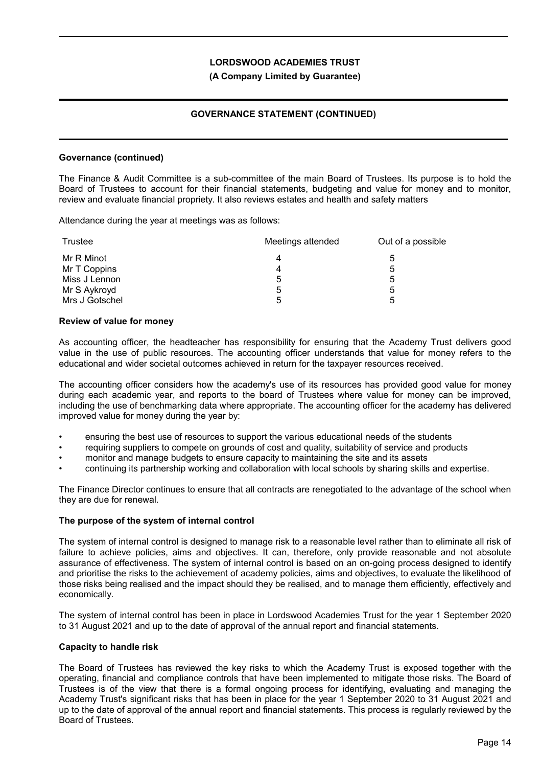### **(A Company Limited by Guarantee)**

## **GOVERNANCE STATEMENT (CONTINUED)**

#### **Governance (continued)**

The Finance & Audit Committee is a sub-committee of the main Board of Trustees. Its purpose is to hold the Board of Trustees to account for their financial statements, budgeting and value for money and to monitor, review and evaluate financial propriety. It also reviews estates and health and safety matters

Attendance during the year at meetings was as follows:

| Trustee        | Meetings attended | Out of a possible |
|----------------|-------------------|-------------------|
| Mr R Minot     | 4                 | 5                 |
| Mr T Coppins   | 4                 | 5                 |
| Miss J Lennon  | 5                 | 5                 |
| Mr S Aykroyd   | ხ                 | 5                 |
| Mrs J Gotschel | 5                 | 5                 |

#### **Review of value for money**

As accounting officer, the headteacher has responsibility for ensuring that the Academy Trust delivers good value in the use of public resources. The accounting officer understands that value for money refers to the educational and wider societal outcomes achieved in return for the taxpayer resources received.

The accounting officer considers how the academy's use of its resources has provided good value for money during each academic year, and reports to the board of Trustees where value for money can be improved, including the use of benchmarking data where appropriate. The accounting officer for the academy has delivered improved value for money during the year by:

- ensuring the best use of resources to support the various educational needs of the students
- requiring suppliers to compete on grounds of cost and quality, suitability of service and products
- monitor and manage budgets to ensure capacity to maintaining the site and its assets
- continuing its partnership working and collaboration with local schools by sharing skills and expertise.

The Finance Director continues to ensure that all contracts are renegotiated to the advantage of the school when they are due for renewal.

#### **The purpose of the system of internal control**

The system of internal control is designed to manage risk to a reasonable level rather than to eliminate all risk of failure to achieve policies, aims and objectives. It can, therefore, only provide reasonable and not absolute assurance of effectiveness. The system of internal control is based on an on-going process designed to identify and prioritise the risks to the achievement of academy policies, aims and objectives, to evaluate the likelihood of those risks being realised and the impact should they be realised, and to manage them efficiently, effectively and economically.

The system of internal control has been in place in Lordswood Academies Trust for the year 1 September 2020 to 31 August 2021 and up to the date of approval of the annual report and financial statements.

#### **Capacity to handle risk**

The Board of Trustees has reviewed the key risks to which the Academy Trust is exposed together with the operating, financial and compliance controls that have been implemented to mitigate those risks. The Board of Trustees is of the view that there is a formal ongoing process for identifying, evaluating and managing the Academy Trust's significant risks that has been in place for the year 1 September 2020 to 31 August 2021 and up to the date of approval of the annual report and financial statements. This process is regularly reviewed by the Board of Trustees.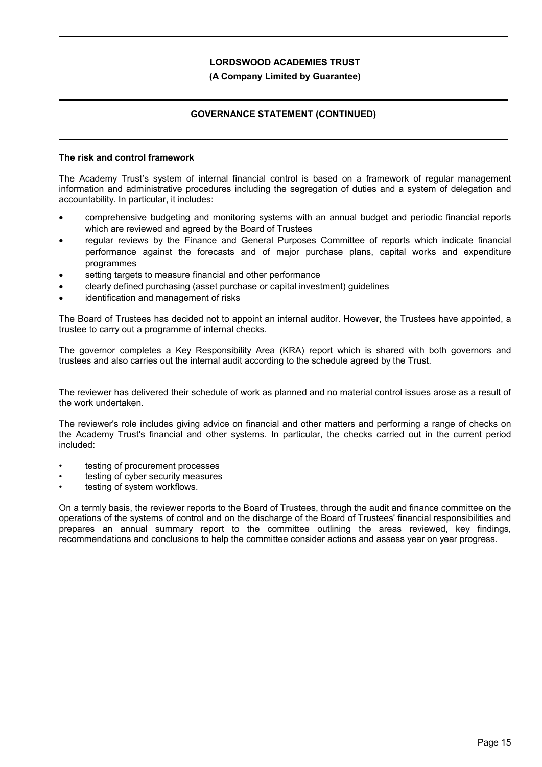### **(A Company Limited by Guarantee)**

## **GOVERNANCE STATEMENT (CONTINUED)**

### **The risk and control framework**

The Academy Trust's system of internal financial control is based on a framework of regular management information and administrative procedures including the segregation of duties and a system of delegation and accountability. In particular, it includes:

- comprehensive budgeting and monitoring systems with an annual budget and periodic financial reports which are reviewed and agreed by the Board of Trustees
- regular reviews by the Finance and General Purposes Committee of reports which indicate financial performance against the forecasts and of major purchase plans, capital works and expenditure programmes
- setting targets to measure financial and other performance
- clearly defined purchasing (asset purchase or capital investment) guidelines
- identification and management of risks

The Board of Trustees has decided not to appoint an internal auditor. However, the Trustees have appointed, a trustee to carry out a programme of internal checks.

The governor completes a Key Responsibility Area (KRA) report which is shared with both governors and trustees and also carries out the internal audit according to the schedule agreed by the Trust.

The reviewer has delivered their schedule of work as planned and no material control issues arose as a result of the work undertaken.

The reviewer's role includes giving advice on financial and other matters and performing a range of checks on the Academy Trust's financial and other systems. In particular, the checks carried out in the current period included:

- testing of procurement processes
- testing of cyber security measures
- testing of system workflows.

On a termly basis, the reviewer reports to the Board of Trustees, through the audit and finance committee on the operations of the systems of control and on the discharge of the Board of Trustees' financial responsibilities and prepares an annual summary report to the committee outlining the areas reviewed, key findings, recommendations and conclusions to help the committee consider actions and assess year on year progress.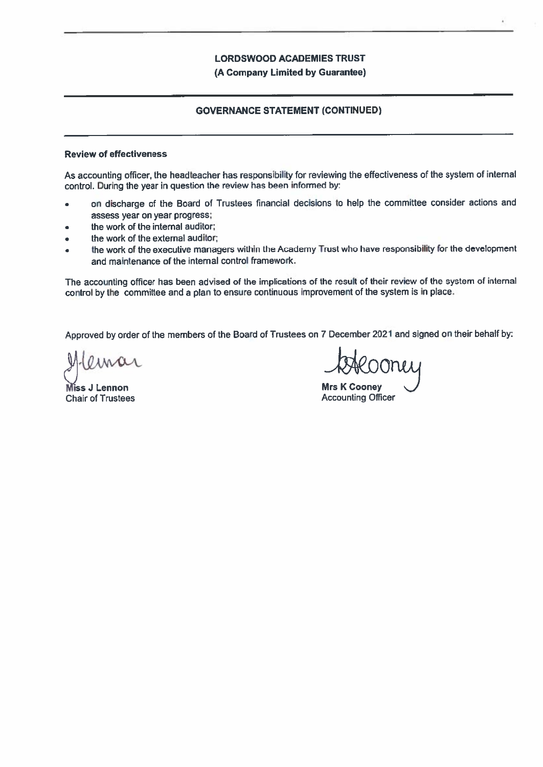(A Company Limited by Guarantee)

### **GOVERNANCE STATEMENT (CONTINUED)**

#### **Review of effectiveness**

As accounting officer, the headteacher has responsibility for reviewing the effectiveness of the system of internal control. During the year in question the review has been informed by:

- on discharge of the Board of Trustees financial decisions to help the committee consider actions and  $\bullet$ assess vear on year progress;
- the work of the internal auditor;  $\bullet$
- the work of the external auditor:  $\bullet$
- the work of the executive managers within the Academy Trust who have responsibility for the development and maintenance of the internal control framework.

The accounting officer has been advised of the implications of the result of their review of the system of internal control by the committee and a plan to ensure continuous improvement of the system is in place.

Approved by order of the members of the Board of Trustees on 7 December 2021 and signed on their behalf by:

Miss J Lennon **Chair of Trustees** 

**Mrs K Cooney Accounting Officer**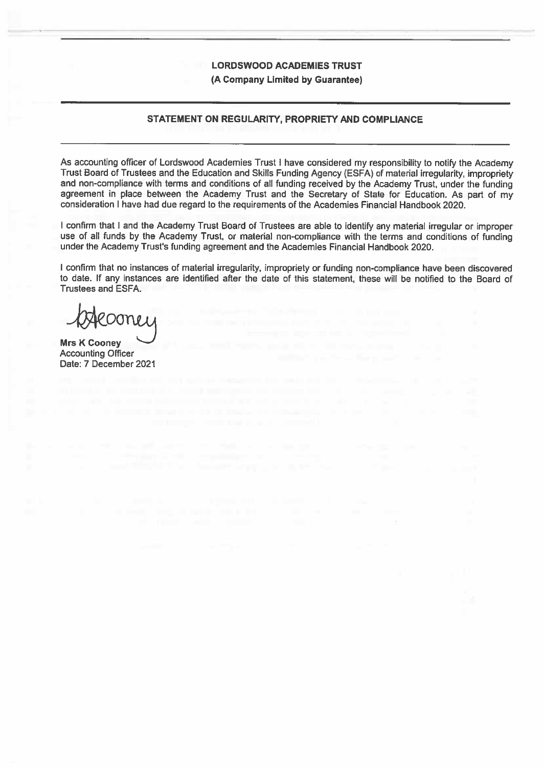(A Company Limited by Guarantee)

### STATEMENT ON REGULARITY, PROPRIETY AND COMPLIANCE

As accounting officer of Lordswood Academies Trust I have considered my responsibility to notify the Academy Trust Board of Trustees and the Education and Skills Funding Agency (ESFA) of material irregularity, impropriety and non-compliance with terms and conditions of all funding received by the Academy Trust, under the funding agreement in place between the Academy Trust and the Secretary of State for Education. As part of my consideration I have had due regard to the requirements of the Academies Financial Handbook 2020.

I confirm that I and the Academy Trust Board of Trustees are able to identify any material irregular or improper use of all funds by the Academy Trust, or material non-compliance with the terms and conditions of funding under the Academy Trust's funding agreement and the Academies Financial Handbook 2020.

I confirm that no instances of material irregularity, impropriety or funding non-compliance have been discovered to date. If any instances are identified after the date of this statement, these will be notified to the Board of **Trustees and ESFA.** 

200nei

**Mrs K Cooney Accounting Officer** Date: 7 December 2021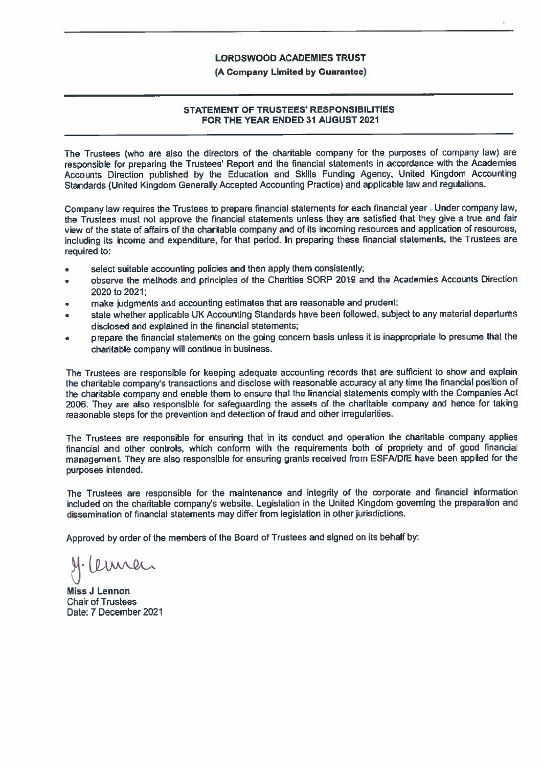#### (A Company Limited by Guarantee)

### **STATEMENT OF TRUSTEES' RESPONSIBILITIES** FOR THE YEAR ENDED 31 AUGUST 2021

The Trustees (who are also the directors of the charitable company for the purposes of company law) are responsible for preparing the Trustees' Report and the financial statements in accordance with the Academies Accounts Direction published by the Education and Skills Funding Agency, United Kingdom Accounting Standards (United Kingdom Generally Accepted Accounting Practice) and applicable law and regulations.

Company law requires the Trustees to prepare financial statements for each financial year. Under company law, the Trustees must not approve the financial statements unless they are satisfied that they give a true and fair view of the state of affairs of the charitable company and of its incoming resources and application of resources, including its income and expenditure, for that period. In preparing these financial statements, the Trustees are required to:

- select suitable accounting policies and then apply them consistently;  $\blacksquare$
- observe the methods and principles of the Charities SORP 2019 and the Academies Accounts Direction 2020 to 2021:
- make judgments and accounting estimates that are reasonable and prudent;
- state whether applicable UK Accounting Standards have been followed, subject to any material departures disclosed and explained in the financial statements;
- prepare the financial statements on the going concern basis unless it is inappropriate to presume that the charitable company will continue in business.

The Trustees are responsible for keeping adequate accounting records that are sufficient to show and explain the charitable company's transactions and disclose with reasonable accuracy at any time the financial position of the charitable company and enable them to ensure that the financial statements comply with the Companies Act 2006. They are also responsible for safeguarding the assets of the charitable company and hence for taking reasonable steps for the prevention and detection of fraud and other irregularities.

The Trustees are responsible for ensuring that in its conduct and operation the charitable company applies financial and other controls, which conform with the requirements both of propriety and of good financial management. They are also responsible for ensuring grants received from ESFA/DfE have been applied for the purposes intended.

The Trustees are responsible for the maintenance and integrity of the corporate and financial information included on the charitable company's website. Legislation in the United Kingdom governing the preparation and dissemination of financial statements may differ from legislation in other jurisdictions.

Approved by order of the members of the Board of Trustees and signed on its behalf by:

emen

**Miss J Lennon Chair of Trustees** Date: 7 December 2021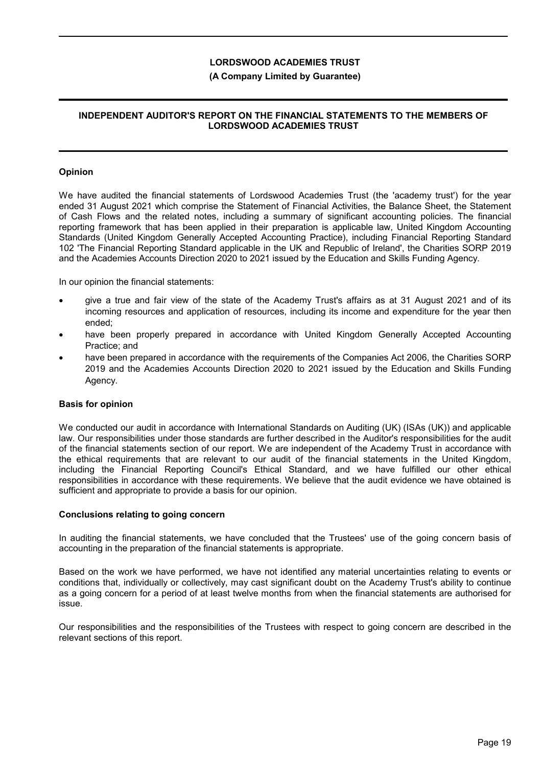### **(A Company Limited by Guarantee)**

## **INDEPENDENT AUDITOR'S REPORT ON THE FINANCIAL STATEMENTS TO THE MEMBERS OF LORDSWOOD ACADEMIES TRUST**

### **Opinion**

We have audited the financial statements of Lordswood Academies Trust (the 'academy trust') for the year ended 31 August 2021 which comprise the Statement of Financial Activities, the Balance Sheet, the Statement of Cash Flows and the related notes, including a summary of significant accounting policies. The financial reporting framework that has been applied in their preparation is applicable law, United Kingdom Accounting Standards (United Kingdom Generally Accepted Accounting Practice), including Financial Reporting Standard 102 'The Financial Reporting Standard applicable in the UK and Republic of Ireland', the Charities SORP 2019 and the Academies Accounts Direction 2020 to 2021 issued by the Education and Skills Funding Agency.

In our opinion the financial statements:

- give a true and fair view of the state of the Academy Trust's affairs as at 31 August 2021 and of its incoming resources and application of resources, including its income and expenditure for the year then ended;
- have been properly prepared in accordance with United Kingdom Generally Accepted Accounting Practice; and
- have been prepared in accordance with the requirements of the Companies Act 2006, the Charities SORP 2019 and the Academies Accounts Direction 2020 to 2021 issued by the Education and Skills Funding Agency.

#### **Basis for opinion**

We conducted our audit in accordance with International Standards on Auditing (UK) (ISAs (UK)) and applicable law. Our responsibilities under those standards are further described in the Auditor's responsibilities for the audit of the financial statements section of our report. We are independent of the Academy Trust in accordance with the ethical requirements that are relevant to our audit of the financial statements in the United Kingdom, including the Financial Reporting Council's Ethical Standard, and we have fulfilled our other ethical responsibilities in accordance with these requirements. We believe that the audit evidence we have obtained is sufficient and appropriate to provide a basis for our opinion.

#### **Conclusions relating to going concern**

In auditing the financial statements, we have concluded that the Trustees' use of the going concern basis of accounting in the preparation of the financial statements is appropriate.

Based on the work we have performed, we have not identified any material uncertainties relating to events or conditions that, individually or collectively, may cast significant doubt on the Academy Trust's ability to continue as a going concern for a period of at least twelve months from when the financial statements are authorised for issue.

Our responsibilities and the responsibilities of the Trustees with respect to going concern are described in the relevant sections of this report.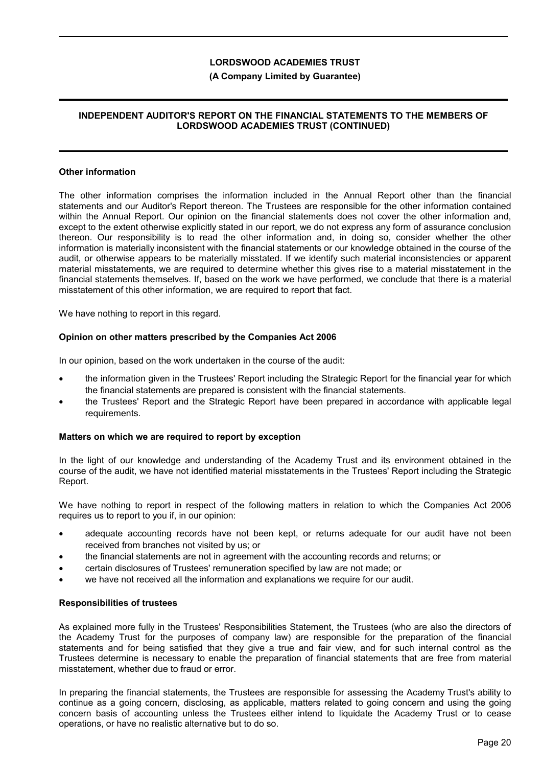### **(A Company Limited by Guarantee)**

## **INDEPENDENT AUDITOR'S REPORT ON THE FINANCIAL STATEMENTS TO THE MEMBERS OF LORDSWOOD ACADEMIES TRUST (CONTINUED)**

#### **Other information**

The other information comprises the information included in the Annual Report other than the financial statements and our Auditor's Report thereon. The Trustees are responsible for the other information contained within the Annual Report. Our opinion on the financial statements does not cover the other information and, except to the extent otherwise explicitly stated in our report, we do not express any form of assurance conclusion thereon. Our responsibility is to read the other information and, in doing so, consider whether the other information is materially inconsistent with the financial statements or our knowledge obtained in the course of the audit, or otherwise appears to be materially misstated. If we identify such material inconsistencies or apparent material misstatements, we are required to determine whether this gives rise to a material misstatement in the financial statements themselves. If, based on the work we have performed, we conclude that there is a material misstatement of this other information, we are required to report that fact.

We have nothing to report in this regard.

#### **Opinion on other matters prescribed by the Companies Act 2006**

In our opinion, based on the work undertaken in the course of the audit:

- the information given in the Trustees' Report including the Strategic Report for the financial year for which the financial statements are prepared is consistent with the financial statements.
- the Trustees' Report and the Strategic Report have been prepared in accordance with applicable legal requirements.

#### **Matters on which we are required to report by exception**

In the light of our knowledge and understanding of the Academy Trust and its environment obtained in the course of the audit, we have not identified material misstatements in the Trustees' Report including the Strategic Report.

We have nothing to report in respect of the following matters in relation to which the Companies Act 2006 requires us to report to you if, in our opinion:

- adequate accounting records have not been kept, or returns adequate for our audit have not been received from branches not visited by us; or
- the financial statements are not in agreement with the accounting records and returns; or
- certain disclosures of Trustees' remuneration specified by law are not made; or
- we have not received all the information and explanations we require for our audit.

#### **Responsibilities of trustees**

As explained more fully in the Trustees' Responsibilities Statement, the Trustees (who are also the directors of the Academy Trust for the purposes of company law) are responsible for the preparation of the financial statements and for being satisfied that they give a true and fair view, and for such internal control as the Trustees determine is necessary to enable the preparation of financial statements that are free from material misstatement, whether due to fraud or error.

In preparing the financial statements, the Trustees are responsible for assessing the Academy Trust's ability to continue as a going concern, disclosing, as applicable, matters related to going concern and using the going concern basis of accounting unless the Trustees either intend to liquidate the Academy Trust or to cease operations, or have no realistic alternative but to do so.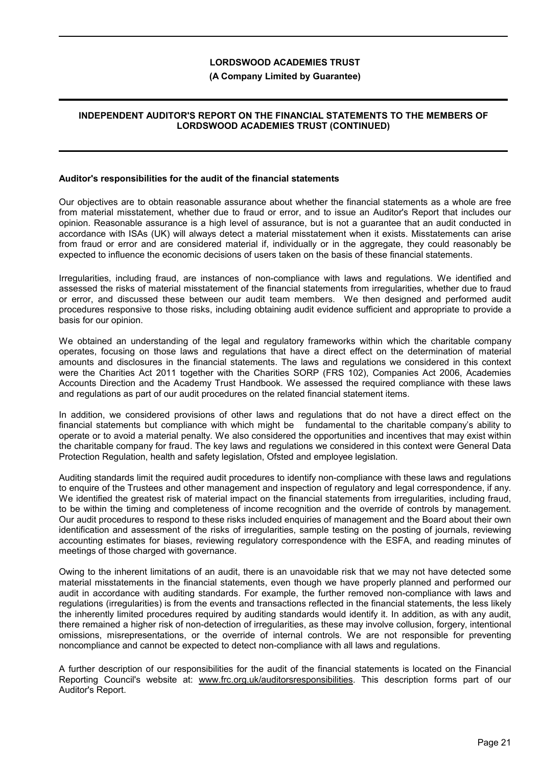### **(A Company Limited by Guarantee)**

## **INDEPENDENT AUDITOR'S REPORT ON THE FINANCIAL STATEMENTS TO THE MEMBERS OF LORDSWOOD ACADEMIES TRUST (CONTINUED)**

#### **Auditor's responsibilities for the audit of the financial statements**

Our objectives are to obtain reasonable assurance about whether the financial statements as a whole are free from material misstatement, whether due to fraud or error, and to issue an Auditor's Report that includes our opinion. Reasonable assurance is a high level of assurance, but is not a guarantee that an audit conducted in accordance with ISAs (UK) will always detect a material misstatement when it exists. Misstatements can arise from fraud or error and are considered material if, individually or in the aggregate, they could reasonably be expected to influence the economic decisions of users taken on the basis of these financial statements.

Irregularities, including fraud, are instances of non-compliance with laws and regulations. We identified and assessed the risks of material misstatement of the financial statements from irregularities, whether due to fraud or error, and discussed these between our audit team members. We then designed and performed audit procedures responsive to those risks, including obtaining audit evidence sufficient and appropriate to provide a basis for our opinion.

We obtained an understanding of the legal and regulatory frameworks within which the charitable company operates, focusing on those laws and regulations that have a direct effect on the determination of material amounts and disclosures in the financial statements. The laws and regulations we considered in this context were the Charities Act 2011 together with the Charities SORP (FRS 102), Companies Act 2006, Academies Accounts Direction and the Academy Trust Handbook. We assessed the required compliance with these laws and regulations as part of our audit procedures on the related financial statement items.

In addition, we considered provisions of other laws and regulations that do not have a direct effect on the financial statements but compliance with which might be fundamental to the charitable company's ability to operate or to avoid a material penalty. We also considered the opportunities and incentives that may exist within the charitable company for fraud. The key laws and regulations we considered in this context were General Data Protection Regulation, health and safety legislation, Ofsted and employee legislation.

Auditing standards limit the required audit procedures to identify non-compliance with these laws and regulations to enquire of the Trustees and other management and inspection of regulatory and legal correspondence, if any. We identified the greatest risk of material impact on the financial statements from irregularities, including fraud, to be within the timing and completeness of income recognition and the override of controls by management. Our audit procedures to respond to these risks included enquiries of management and the Board about their own identification and assessment of the risks of irregularities, sample testing on the posting of journals, reviewing accounting estimates for biases, reviewing regulatory correspondence with the ESFA, and reading minutes of meetings of those charged with governance.

Owing to the inherent limitations of an audit, there is an unavoidable risk that we may not have detected some material misstatements in the financial statements, even though we have properly planned and performed our audit in accordance with auditing standards. For example, the further removed non-compliance with laws and regulations (irregularities) is from the events and transactions reflected in the financial statements, the less likely the inherently limited procedures required by auditing standards would identify it. In addition, as with any audit, there remained a higher risk of non-detection of irregularities, as these may involve collusion, forgery, intentional omissions, misrepresentations, or the override of internal controls. We are not responsible for preventing noncompliance and cannot be expected to detect non-compliance with all laws and regulations.

A further description of our responsibilities for the audit of the financial statements is located on the Financial Reporting Council's website at: www.frc.org.uk/auditorsresponsibilities. This description forms part of our Auditor's Report.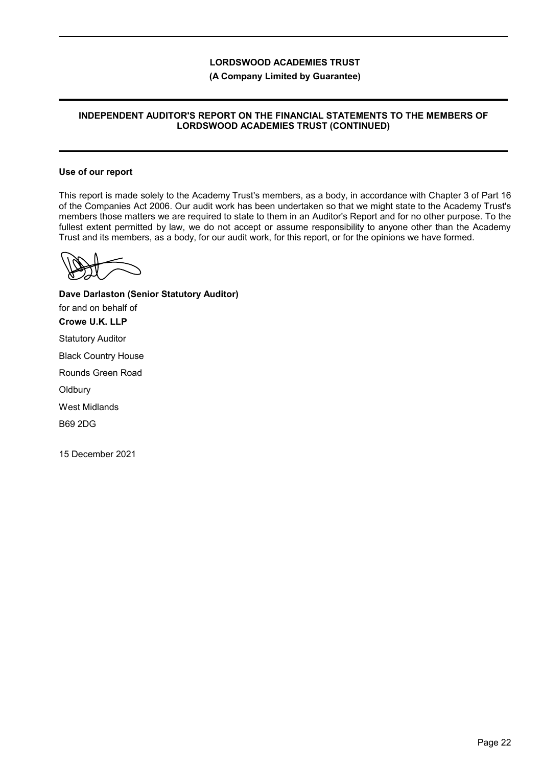### **(A Company Limited by Guarantee)**

## **INDEPENDENT AUDITOR'S REPORT ON THE FINANCIAL STATEMENTS TO THE MEMBERS OF LORDSWOOD ACADEMIES TRUST (CONTINUED)**

#### **Use of our report**

This report is made solely to the Academy Trust's members, as a body, in accordance with Chapter 3 of Part 16 of the Companies Act 2006. Our audit work has been undertaken so that we might state to the Academy Trust's members those matters we are required to state to them in an Auditor's Report and for no other purpose. To the fullest extent permitted by law, we do not accept or assume responsibility to anyone other than the Academy Trust and its members, as a body, for our audit work, for this report, or for the opinions we have formed.

**Dave Darlaston (Senior Statutory Auditor)** for and on behalf of **Crowe U.K. LLP** Statutory Auditor Black Country House Rounds Green Road **Oldbury** West Midlands B69 2DG

15 December 2021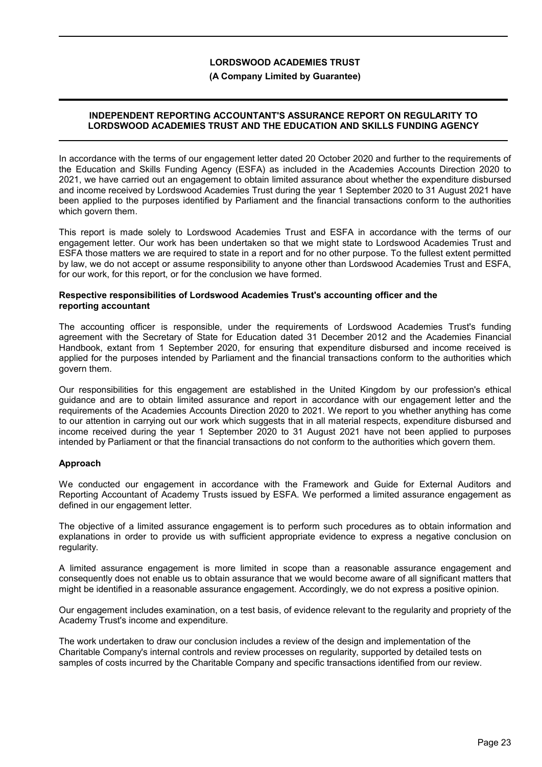### **(A Company Limited by Guarantee)**

### **INDEPENDENT REPORTING ACCOUNTANT'S ASSURANCE REPORT ON REGULARITY TO LORDSWOOD ACADEMIES TRUST AND THE EDUCATION AND SKILLS FUNDING AGENCY**

In accordance with the terms of our engagement letter dated 20 October 2020 and further to the requirements of the Education and Skills Funding Agency (ESFA) as included in the Academies Accounts Direction 2020 to 2021, we have carried out an engagement to obtain limited assurance about whether the expenditure disbursed and income received by Lordswood Academies Trust during the year 1 September 2020 to 31 August 2021 have been applied to the purposes identified by Parliament and the financial transactions conform to the authorities which govern them.

This report is made solely to Lordswood Academies Trust and ESFA in accordance with the terms of our engagement letter. Our work has been undertaken so that we might state to Lordswood Academies Trust and ESFA those matters we are required to state in a report and for no other purpose. To the fullest extent permitted by law, we do not accept or assume responsibility to anyone other than Lordswood Academies Trust and ESFA, for our work, for this report, or for the conclusion we have formed.

### **Respective responsibilities of Lordswood Academies Trust's accounting officer and the reporting accountant**

The accounting officer is responsible, under the requirements of Lordswood Academies Trust's funding agreement with the Secretary of State for Education dated 31 December 2012 and the Academies Financial Handbook, extant from 1 September 2020, for ensuring that expenditure disbursed and income received is applied for the purposes intended by Parliament and the financial transactions conform to the authorities which govern them.

Our responsibilities for this engagement are established in the United Kingdom by our profession's ethical guidance and are to obtain limited assurance and report in accordance with our engagement letter and the requirements of the Academies Accounts Direction 2020 to 2021. We report to you whether anything has come to our attention in carrying out our work which suggests that in all material respects, expenditure disbursed and income received during the year 1 September 2020 to 31 August 2021 have not been applied to purposes intended by Parliament or that the financial transactions do not conform to the authorities which govern them.

## **Approach**

We conducted our engagement in accordance with the Framework and Guide for External Auditors and Reporting Accountant of Academy Trusts issued by ESFA. We performed a limited assurance engagement as defined in our engagement letter.

The objective of a limited assurance engagement is to perform such procedures as to obtain information and explanations in order to provide us with sufficient appropriate evidence to express a negative conclusion on regularity.

A limited assurance engagement is more limited in scope than a reasonable assurance engagement and consequently does not enable us to obtain assurance that we would become aware of all significant matters that might be identified in a reasonable assurance engagement. Accordingly, we do not express a positive opinion.

Our engagement includes examination, on a test basis, of evidence relevant to the regularity and propriety of the Academy Trust's income and expenditure.

The work undertaken to draw our conclusion includes a review of the design and implementation of the Charitable Company's internal controls and review processes on regularity, supported by detailed tests on samples of costs incurred by the Charitable Company and specific transactions identified from our review.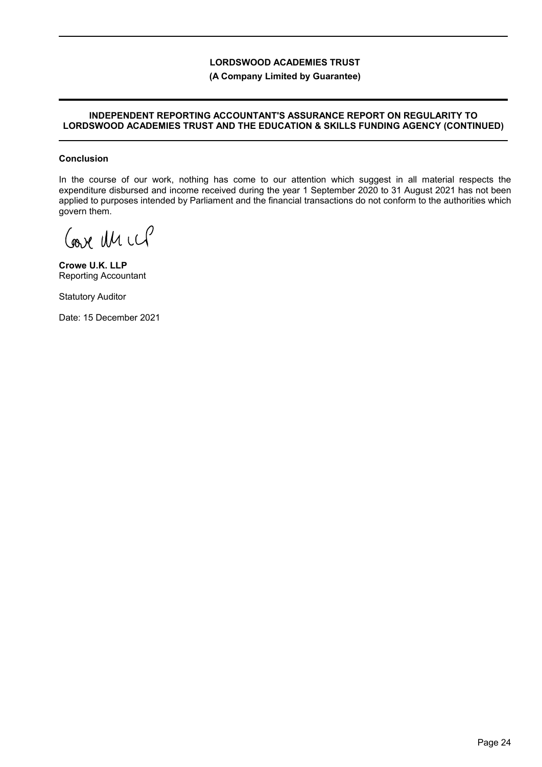## **(A Company Limited by Guarantee)**

### **INDEPENDENT REPORTING ACCOUNTANT'S ASSURANCE REPORT ON REGULARITY TO LORDSWOOD ACADEMIES TRUST AND THE EDUCATION & SKILLS FUNDING AGENCY (CONTINUED)**

### **Conclusion**

In the course of our work, nothing has come to our attention which suggest in all material respects the expenditure disbursed and income received during the year 1 September 2020 to 31 August 2021 has not been applied to purposes intended by Parliament and the financial transactions do not conform to the authorities which govern them.

Coave Un ccP

**Crowe U.K. LLP** Reporting Accountant

Statutory Auditor

Date: 15 December 2021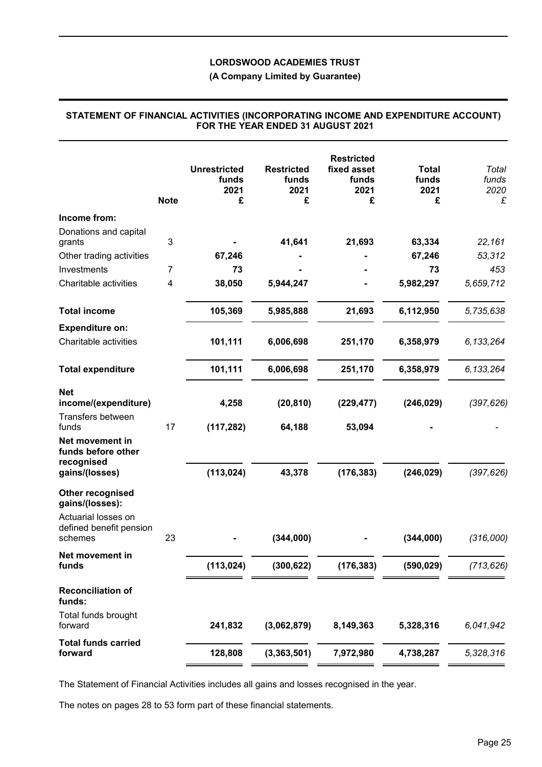## **(A Company Limited by Guarantee)**

## **STATEMENT OF FINANCIAL ACTIVITIES (INCORPORATING INCOME AND EXPENDITURE ACCOUNT) FOR THE YEAR ENDED 31 AUGUST 2021**

| <b>Note</b>                                                     | <b>Unrestricted</b><br>funds<br>2021<br>£ | <b>Restricted</b><br>funds<br>2021<br>£ | <b>Restricted</b><br>fixed asset<br>funds<br>2021<br>£ | <b>Total</b><br>funds<br>2021<br>£ | Total<br>funds<br>2020<br>£ |
|-----------------------------------------------------------------|-------------------------------------------|-----------------------------------------|--------------------------------------------------------|------------------------------------|-----------------------------|
| Income from:                                                    |                                           |                                         |                                                        |                                    |                             |
| Donations and capital<br>$\ensuremath{\mathsf{3}}$<br>grants    |                                           | 41,641                                  | 21,693                                                 | 63,334                             | 22,161                      |
| Other trading activities                                        | 67,246                                    |                                         |                                                        | 67,246                             | 53,312                      |
| Investments<br>7                                                | 73                                        |                                         |                                                        | 73                                 | 453                         |
| Charitable activities<br>4                                      | 38,050                                    | 5,944,247                               |                                                        | 5,982,297                          | 5,659,712                   |
| <b>Total income</b>                                             | 105,369                                   | 5,985,888                               | 21,693                                                 | 6,112,950                          | 5,735,638                   |
| <b>Expenditure on:</b>                                          |                                           |                                         |                                                        |                                    |                             |
| Charitable activities                                           | 101,111                                   | 6,006,698                               | 251,170                                                | 6,358,979                          | 6, 133, 264                 |
| <b>Total expenditure</b>                                        | 101,111                                   | 6,006,698                               | 251,170                                                | 6,358,979                          | 6, 133, 264                 |
| <b>Net</b><br>income/(expenditure)<br>Transfers between         | 4,258                                     | (20, 810)                               | (229, 477)                                             | (246, 029)                         | (397, 626)                  |
| 17<br>funds                                                     | (117, 282)                                | 64,188                                  | 53,094                                                 |                                    |                             |
| Net movement in<br>funds before other<br>recognised             |                                           |                                         |                                                        |                                    |                             |
| gains/(losses)                                                  | (113, 024)                                | 43,378                                  | (176, 383)                                             | (246, 029)                         | (397, 626)                  |
| Other recognised<br>gains/(losses):                             |                                           |                                         |                                                        |                                    |                             |
| Actuarial losses on<br>defined benefit pension<br>23<br>schemes |                                           | (344,000)                               |                                                        | (344,000)                          | (316,000)                   |
| Net movement in                                                 |                                           |                                         |                                                        |                                    |                             |
| funds                                                           | (113, 024)                                | (300, 622)                              | (176, 383)                                             | (590, 029)                         | (713, 626)                  |
| <b>Reconciliation of</b><br>funds:                              |                                           |                                         |                                                        |                                    |                             |
| Total funds brought<br>forward                                  | 241,832                                   | (3,062,879)                             | 8,149,363                                              | 5,328,316                          | 6,041,942                   |
| <b>Total funds carried</b><br>forward                           | 128,808                                   | (3,363,501)                             | 7,972,980                                              | 4,738,287                          | 5,328,316                   |

The Statement of Financial Activities includes all gains and losses recognised in the year.

The notes on pages 28 to 53 form part of these financial statements.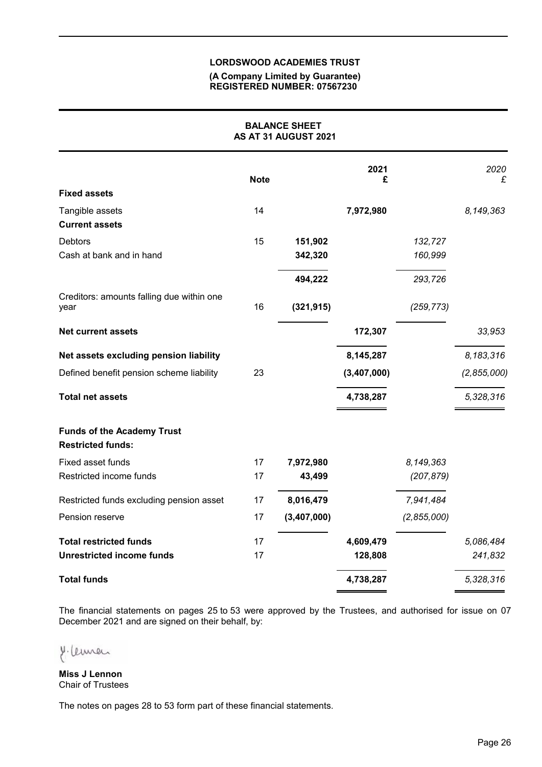### **(A Company Limited by Guarantee) REGISTERED NUMBER: 07567230**

|                                                               |             | <b>BALANCE SHEET</b><br>AS AT 31 AUGUST 2021 |             |             |             |
|---------------------------------------------------------------|-------------|----------------------------------------------|-------------|-------------|-------------|
|                                                               | <b>Note</b> |                                              | 2021<br>£   |             | 2020<br>£   |
| <b>Fixed assets</b>                                           |             |                                              |             |             |             |
| Tangible assets<br><b>Current assets</b>                      | 14          |                                              | 7,972,980   |             | 8,149,363   |
| <b>Debtors</b>                                                | 15          | 151,902                                      |             | 132,727     |             |
| Cash at bank and in hand                                      |             | 342,320                                      |             | 160,999     |             |
|                                                               |             | 494,222                                      |             | 293,726     |             |
| Creditors: amounts falling due within one<br>year             | 16          | (321, 915)                                   |             | (259, 773)  |             |
| <b>Net current assets</b>                                     |             |                                              | 172,307     |             | 33,953      |
| Net assets excluding pension liability                        |             |                                              | 8,145,287   |             | 8,183,316   |
| Defined benefit pension scheme liability                      | 23          |                                              | (3,407,000) |             | (2,855,000) |
| <b>Total net assets</b>                                       |             |                                              | 4,738,287   |             | 5,328,316   |
| <b>Funds of the Academy Trust</b><br><b>Restricted funds:</b> |             |                                              |             |             |             |
| Fixed asset funds                                             | 17          | 7,972,980                                    |             | 8,149,363   |             |
| Restricted income funds                                       | 17          | 43,499                                       |             | (207, 879)  |             |
| Restricted funds excluding pension asset                      | 17          | 8,016,479                                    |             | 7,941,484   |             |
| Pension reserve                                               | 17          | (3,407,000)                                  |             | (2,855,000) |             |
| <b>Total restricted funds</b>                                 | 17          |                                              | 4,609,479   |             | 5,086,484   |
| <b>Unrestricted income funds</b>                              | 17          |                                              | 128,808     |             | 241,832     |
| <b>Total funds</b>                                            |             |                                              | 4,738,287   |             | 5,328,316   |

The financial statements on pages 25 to 53 were approved by the Trustees, and authorised for issue on 07 December 2021 and are signed on their behalf, by:

y. Cemer

**Miss J Lennon** Chair of Trustees

The notes on pages 28 to 53 form part of these financial statements.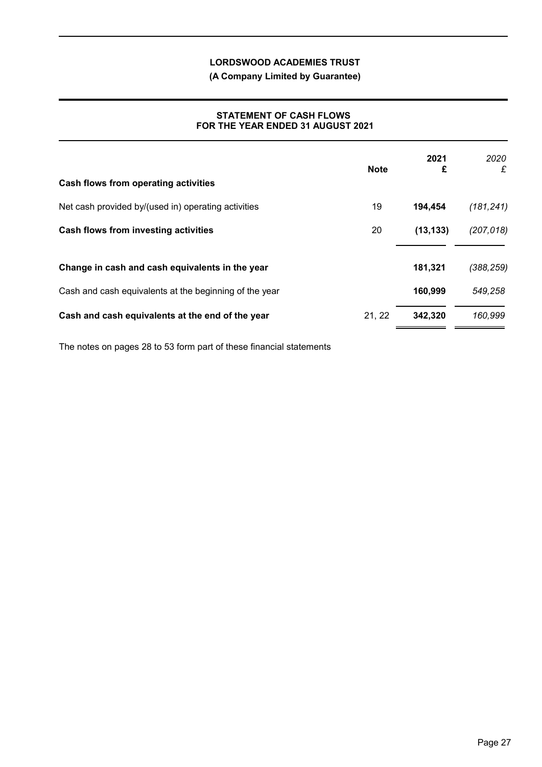**(A Company Limited by Guarantee)**

## **STATEMENT OF CASH FLOWS FOR THE YEAR ENDED 31 AUGUST 2021**

| Cash flows from operating activities                   | <b>Note</b> | 2021<br>£ | 2020<br>£  |
|--------------------------------------------------------|-------------|-----------|------------|
| Net cash provided by/(used in) operating activities    | 19          | 194,454   | (181, 241) |
| Cash flows from investing activities                   | 20          | (13, 133) | (207, 018) |
| Change in cash and cash equivalents in the year        |             | 181,321   | (388, 259) |
| Cash and cash equivalents at the beginning of the year |             | 160,999   | 549,258    |
| Cash and cash equivalents at the end of the year       | 21, 22      | 342,320   | 160,999    |

The notes on pages 28 to 53 form part of these financial statements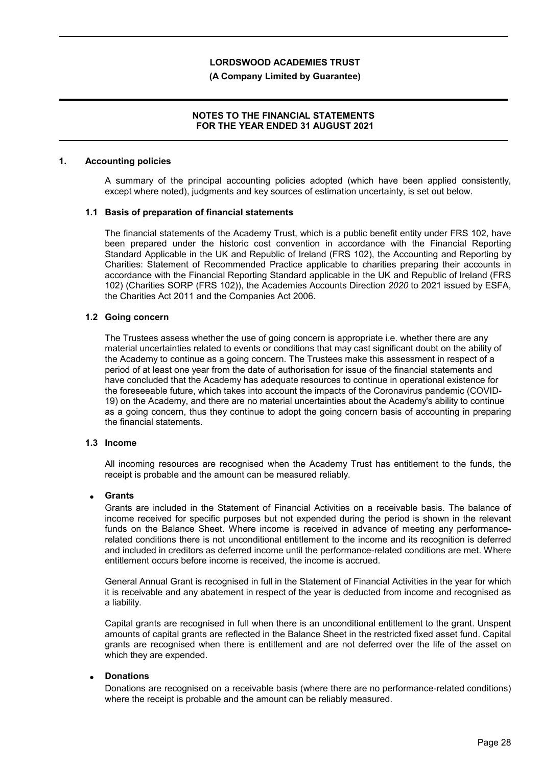### **(A Company Limited by Guarantee)**

### **NOTES TO THE FINANCIAL STATEMENTS FOR THE YEAR ENDED 31 AUGUST 2021**

#### **1. Accounting policies**

A summary of the principal accounting policies adopted (which have been applied consistently, except where noted), judgments and key sources of estimation uncertainty, is set out below.

#### **1.1 Basis of preparation of financial statements**

The financial statements of the Academy Trust, which is a public benefit entity under FRS 102, have been prepared under the historic cost convention in accordance with the Financial Reporting Standard Applicable in the UK and Republic of Ireland (FRS 102), the Accounting and Reporting by Charities: Statement of Recommended Practice applicable to charities preparing their accounts in accordance with the Financial Reporting Standard applicable in the UK and Republic of Ireland (FRS 102) (Charities SORP (FRS 102)), the Academies Accounts Direction *2020* to 2021 issued by ESFA, the Charities Act 2011 and the Companies Act 2006.

### **1.2 Going concern**

The Trustees assess whether the use of going concern is appropriate i.e. whether there are any material uncertainties related to events or conditions that may cast significant doubt on the ability of the Academy to continue as a going concern. The Trustees make this assessment in respect of a period of at least one year from the date of authorisation for issue of the financial statements and have concluded that the Academy has adequate resources to continue in operational existence for the foreseeable future, which takes into account the impacts of the Coronavirus pandemic (COVID-19) on the Academy, and there are no material uncertainties about the Academy's ability to continue as a going concern, thus they continue to adopt the going concern basis of accounting in preparing the financial statements.

#### **1.3 Income**

All incoming resources are recognised when the Academy Trust has entitlement to the funds, the receipt is probable and the amount can be measured reliably.

#### **Grants**

Grants are included in the Statement of Financial Activities on a receivable basis. The balance of income received for specific purposes but not expended during the period is shown in the relevant funds on the Balance Sheet. Where income is received in advance of meeting any performancerelated conditions there is not unconditional entitlement to the income and its recognition is deferred and included in creditors as deferred income until the performance-related conditions are met. Where entitlement occurs before income is received, the income is accrued.

General Annual Grant is recognised in full in the Statement of Financial Activities in the year for which it is receivable and any abatement in respect of the year is deducted from income and recognised as a liability.

Capital grants are recognised in full when there is an unconditional entitlement to the grant. Unspent amounts of capital grants are reflected in the Balance Sheet in the restricted fixed asset fund. Capital grants are recognised when there is entitlement and are not deferred over the life of the asset on which they are expended.

#### **Donations**

Donations are recognised on a receivable basis (where there are no performance-related conditions) where the receipt is probable and the amount can be reliably measured.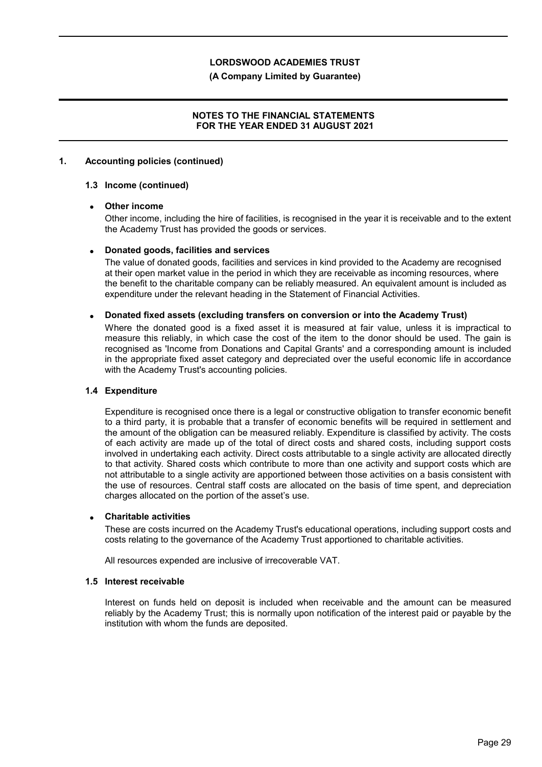### **(A Company Limited by Guarantee)**

## **NOTES TO THE FINANCIAL STATEMENTS FOR THE YEAR ENDED 31 AUGUST 2021**

### **1. Accounting policies (continued)**

### **1.3 Income (continued)**

### **Other income**

Other income, including the hire of facilities, is recognised in the year it is receivable and to the extent the Academy Trust has provided the goods or services.

### **Donated goods, facilities and services**

The value of donated goods, facilities and services in kind provided to the Academy are recognised at their open market value in the period in which they are receivable as incoming resources, where the benefit to the charitable company can be reliably measured. An equivalent amount is included as expenditure under the relevant heading in the Statement of Financial Activities.

#### **Donated fixed assets (excluding transfers on conversion or into the Academy Trust)**

Where the donated good is a fixed asset it is measured at fair value, unless it is impractical to measure this reliably, in which case the cost of the item to the donor should be used. The gain is recognised as 'Income from Donations and Capital Grants' and a corresponding amount is included in the appropriate fixed asset category and depreciated over the useful economic life in accordance with the Academy Trust's accounting policies.

#### **1.4 Expenditure**

Expenditure is recognised once there is a legal or constructive obligation to transfer economic benefit to a third party, it is probable that a transfer of economic benefits will be required in settlement and the amount of the obligation can be measured reliably. Expenditure is classified by activity. The costs of each activity are made up of the total of direct costs and shared costs, including support costs involved in undertaking each activity. Direct costs attributable to a single activity are allocated directly to that activity. Shared costs which contribute to more than one activity and support costs which are not attributable to a single activity are apportioned between those activities on a basis consistent with the use of resources. Central staff costs are allocated on the basis of time spent, and depreciation charges allocated on the portion of the asset's use.

#### **Charitable activities**

These are costs incurred on the Academy Trust's educational operations, including support costs and costs relating to the governance of the Academy Trust apportioned to charitable activities.

All resources expended are inclusive of irrecoverable VAT.

#### **1.5 Interest receivable**

Interest on funds held on deposit is included when receivable and the amount can be measured reliably by the Academy Trust; this is normally upon notification of the interest paid or payable by the institution with whom the funds are deposited.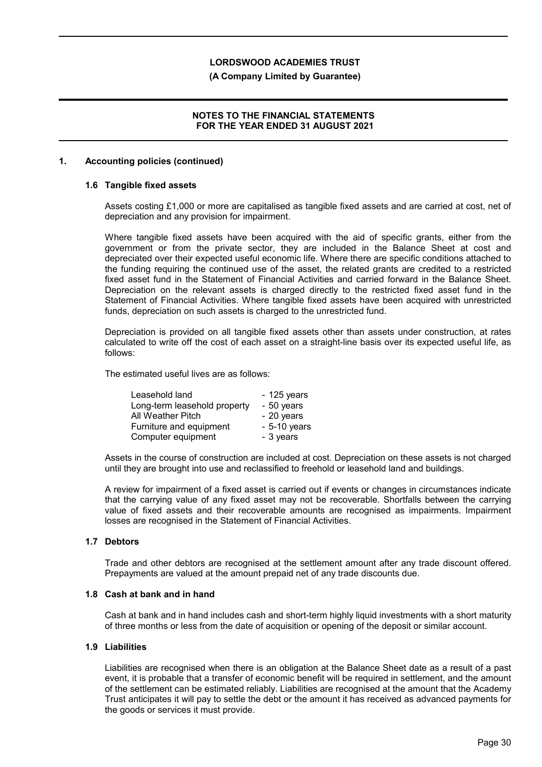### **(A Company Limited by Guarantee)**

### **NOTES TO THE FINANCIAL STATEMENTS FOR THE YEAR ENDED 31 AUGUST 2021**

### **1. Accounting policies (continued)**

### **1.6 Tangible fixed assets**

Assets costing £1,000 or more are capitalised as tangible fixed assets and are carried at cost, net of depreciation and any provision for impairment.

Where tangible fixed assets have been acquired with the aid of specific grants, either from the government or from the private sector, they are included in the Balance Sheet at cost and depreciated over their expected useful economic life. Where there are specific conditions attached to the funding requiring the continued use of the asset, the related grants are credited to a restricted fixed asset fund in the Statement of Financial Activities and carried forward in the Balance Sheet. Depreciation on the relevant assets is charged directly to the restricted fixed asset fund in the Statement of Financial Activities. Where tangible fixed assets have been acquired with unrestricted funds, depreciation on such assets is charged to the unrestricted fund.

Depreciation is provided on all tangible fixed assets other than assets under construction, at rates calculated to write off the cost of each asset on a straight-line basis over its expected useful life, as follows:

The estimated useful lives are as follows:

| Leasehold land               | $-125$ years  |
|------------------------------|---------------|
| Long-term leasehold property | - 50 years    |
| All Weather Pitch            | - 20 years    |
| Furniture and equipment      | $-5-10$ years |
| Computer equipment           | - 3 years     |

Assets in the course of construction are included at cost. Depreciation on these assets is not charged until they are brought into use and reclassified to freehold or leasehold land and buildings.

A review for impairment of a fixed asset is carried out if events or changes in circumstances indicate that the carrying value of any fixed asset may not be recoverable. Shortfalls between the carrying value of fixed assets and their recoverable amounts are recognised as impairments. Impairment losses are recognised in the Statement of Financial Activities.

#### **1.7 Debtors**

Trade and other debtors are recognised at the settlement amount after any trade discount offered. Prepayments are valued at the amount prepaid net of any trade discounts due.

## **1.8 Cash at bank and in hand**

Cash at bank and in hand includes cash and short-term highly liquid investments with a short maturity of three months or less from the date of acquisition or opening of the deposit or similar account.

#### **1.9 Liabilities**

Liabilities are recognised when there is an obligation at the Balance Sheet date as a result of a past event, it is probable that a transfer of economic benefit will be required in settlement, and the amount of the settlement can be estimated reliably. Liabilities are recognised at the amount that the Academy Trust anticipates it will pay to settle the debt or the amount it has received as advanced payments for the goods or services it must provide.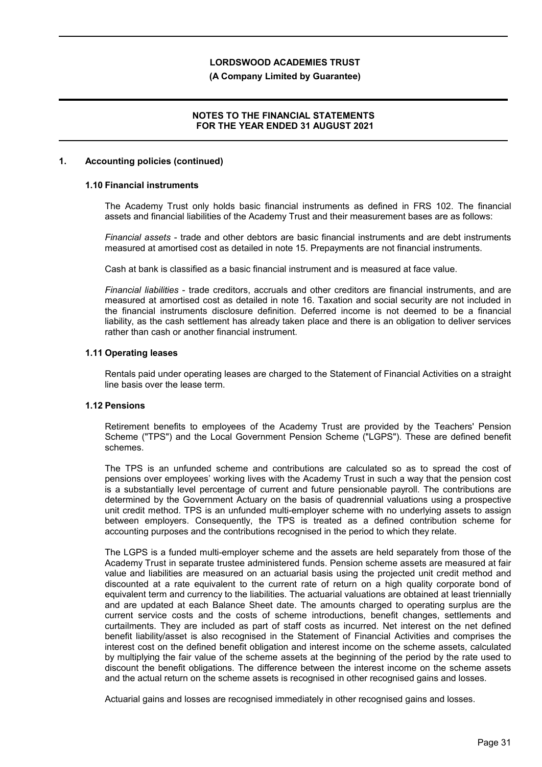### **(A Company Limited by Guarantee)**

## **NOTES TO THE FINANCIAL STATEMENTS FOR THE YEAR ENDED 31 AUGUST 2021**

### **1. Accounting policies (continued)**

## **1.10 Financial instruments**

The Academy Trust only holds basic financial instruments as defined in FRS 102. The financial assets and financial liabilities of the Academy Trust and their measurement bases are as follows:

*Financial assets* - trade and other debtors are basic financial instruments and are debt instruments measured at amortised cost as detailed in note 15. Prepayments are not financial instruments.

Cash at bank is classified as a basic financial instrument and is measured at face value.

*Financial liabilities* - trade creditors, accruals and other creditors are financial instruments, and are measured at amortised cost as detailed in note 16. Taxation and social security are not included in the financial instruments disclosure definition. Deferred income is not deemed to be a financial liability, as the cash settlement has already taken place and there is an obligation to deliver services rather than cash or another financial instrument.

### **1.11 Operating leases**

Rentals paid under operating leases are charged to the Statement of Financial Activities on a straight line basis over the lease term.

### **1.12 Pensions**

Retirement benefits to employees of the Academy Trust are provided by the Teachers' Pension Scheme ("TPS") and the Local Government Pension Scheme ("LGPS"). These are defined benefit schemes.

The TPS is an unfunded scheme and contributions are calculated so as to spread the cost of pensions over employees' working lives with the Academy Trust in such a way that the pension cost is a substantially level percentage of current and future pensionable payroll. The contributions are determined by the Government Actuary on the basis of quadrennial valuations using a prospective unit credit method. TPS is an unfunded multi-employer scheme with no underlying assets to assign between employers. Consequently, the TPS is treated as a defined contribution scheme for accounting purposes and the contributions recognised in the period to which they relate.

The LGPS is a funded multi-employer scheme and the assets are held separately from those of the Academy Trust in separate trustee administered funds. Pension scheme assets are measured at fair value and liabilities are measured on an actuarial basis using the projected unit credit method and discounted at a rate equivalent to the current rate of return on a high quality corporate bond of equivalent term and currency to the liabilities. The actuarial valuations are obtained at least triennially and are updated at each Balance Sheet date. The amounts charged to operating surplus are the current service costs and the costs of scheme introductions, benefit changes, settlements and curtailments. They are included as part of staff costs as incurred. Net interest on the net defined benefit liability/asset is also recognised in the Statement of Financial Activities and comprises the interest cost on the defined benefit obligation and interest income on the scheme assets, calculated by multiplying the fair value of the scheme assets at the beginning of the period by the rate used to discount the benefit obligations. The difference between the interest income on the scheme assets and the actual return on the scheme assets is recognised in other recognised gains and losses.

Actuarial gains and losses are recognised immediately in other recognised gains and losses.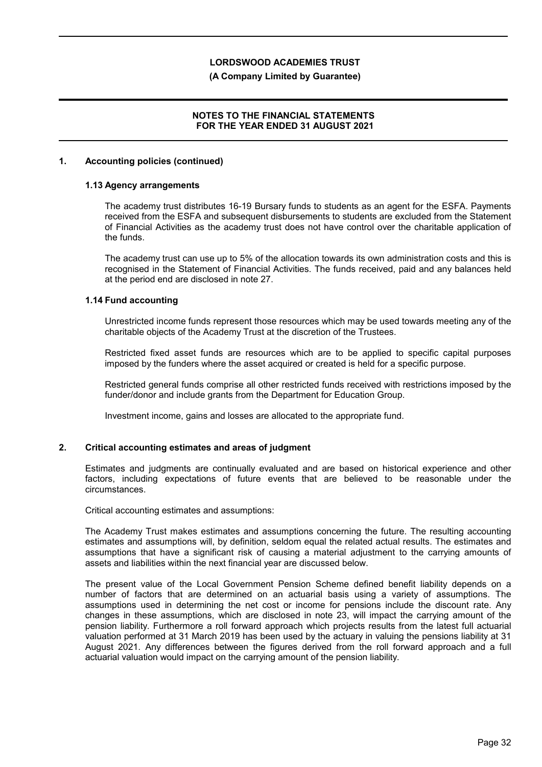### **(A Company Limited by Guarantee)**

### **NOTES TO THE FINANCIAL STATEMENTS FOR THE YEAR ENDED 31 AUGUST 2021**

### **1. Accounting policies (continued)**

### **1.13 Agency arrangements**

The academy trust distributes 16-19 Bursary funds to students as an agent for the ESFA. Payments received from the ESFA and subsequent disbursements to students are excluded from the Statement of Financial Activities as the academy trust does not have control over the charitable application of the funds.

The academy trust can use up to 5% of the allocation towards its own administration costs and this is recognised in the Statement of Financial Activities. The funds received, paid and any balances held at the period end are disclosed in note 27.

### **1.14 Fund accounting**

Unrestricted income funds represent those resources which may be used towards meeting any of the charitable objects of the Academy Trust at the discretion of the Trustees.

Restricted fixed asset funds are resources which are to be applied to specific capital purposes imposed by the funders where the asset acquired or created is held for a specific purpose.

Restricted general funds comprise all other restricted funds received with restrictions imposed by the funder/donor and include grants from the Department for Education Group.

Investment income, gains and losses are allocated to the appropriate fund.

#### **2. Critical accounting estimates and areas of judgment**

Estimates and judgments are continually evaluated and are based on historical experience and other factors, including expectations of future events that are believed to be reasonable under the circumstances.

Critical accounting estimates and assumptions:

The Academy Trust makes estimates and assumptions concerning the future. The resulting accounting estimates and assumptions will, by definition, seldom equal the related actual results. The estimates and assumptions that have a significant risk of causing a material adjustment to the carrying amounts of assets and liabilities within the next financial year are discussed below.

The present value of the Local Government Pension Scheme defined benefit liability depends on a number of factors that are determined on an actuarial basis using a variety of assumptions. The assumptions used in determining the net cost or income for pensions include the discount rate. Any changes in these assumptions, which are disclosed in note 23, will impact the carrying amount of the pension liability. Furthermore a roll forward approach which projects results from the latest full actuarial valuation performed at 31 March 2019 has been used by the actuary in valuing the pensions liability at 31 August 2021. Any differences between the figures derived from the roll forward approach and a full actuarial valuation would impact on the carrying amount of the pension liability.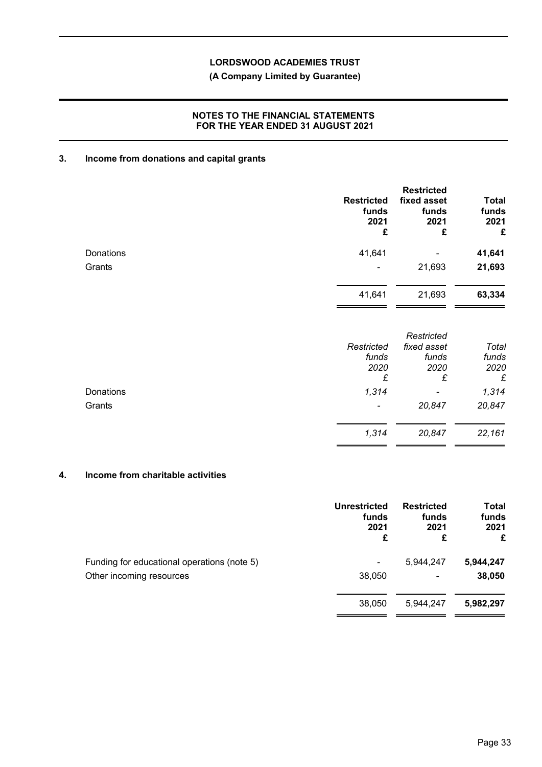## **(A Company Limited by Guarantee)**

## **NOTES TO THE FINANCIAL STATEMENTS FOR THE YEAR ENDED 31 AUGUST 2021**

## **3. Income from donations and capital grants**

|           | <b>Restricted</b><br>funds<br>2021<br>£ | <b>Restricted</b><br>fixed asset<br>funds<br>2021<br>£ | <b>Total</b><br>funds<br>2021<br>£ |
|-----------|-----------------------------------------|--------------------------------------------------------|------------------------------------|
| Donations | 41,641                                  | ۰                                                      | 41,641                             |
| Grants    | -                                       | 21,693                                                 | 21,693                             |
|           | 41,641                                  | 21,693                                                 | 63,334                             |
|           |                                         | Restricted                                             |                                    |

|           | Restricted<br>funds<br>2020 | fixed asset<br>funds<br>2020 | Total<br>funds<br>2020 |
|-----------|-----------------------------|------------------------------|------------------------|
|           | £                           | £                            | £                      |
| Donations | 1,314                       | $\blacksquare$               | 1,314                  |
| Grants    | $\overline{\phantom{a}}$    | 20,847                       | 20,847                 |
|           | 1,314                       | 20,847                       | 22,161                 |

# **4. Income from charitable activities**

|                                             | Unrestricted<br>funds<br>2021<br>£ | <b>Restricted</b><br>funds<br>2021<br>£ | <b>Total</b><br>funds<br>2021<br>£ |
|---------------------------------------------|------------------------------------|-----------------------------------------|------------------------------------|
| Funding for educational operations (note 5) | ۰                                  | 5,944,247                               | 5,944,247                          |
| Other incoming resources                    | 38,050                             | ۰                                       | 38,050                             |
|                                             | 38,050                             | 5,944,247                               | 5,982,297                          |

J.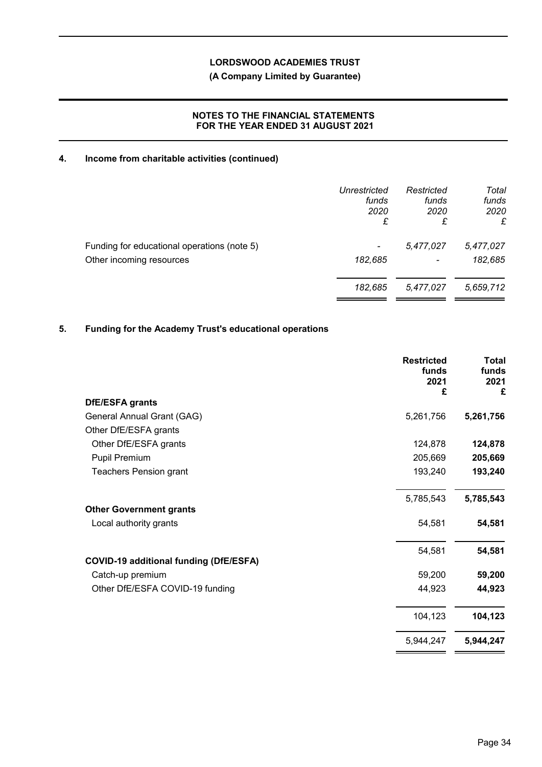## **(A Company Limited by Guarantee)**

## **NOTES TO THE FINANCIAL STATEMENTS FOR THE YEAR ENDED 31 AUGUST 2021**

## **4. Income from charitable activities (continued)**

|                                             | Unrestricted<br>funds<br>2020<br>£ | Restricted<br>funds<br>2020<br>£ | Total<br>funds<br>2020<br>£ |
|---------------------------------------------|------------------------------------|----------------------------------|-----------------------------|
| Funding for educational operations (note 5) | -                                  | 5,477,027                        | 5,477,027                   |
| Other incoming resources                    | 182,685                            | $\overline{\phantom{a}}$         | 182,685                     |
|                                             | 182,685                            | 5,477,027                        | 5,659,712                   |

# **5. Funding for the Academy Trust's educational operations**

|                                               | <b>Restricted</b><br>funds<br>2021<br>£ | Total<br>funds<br>2021<br>£ |
|-----------------------------------------------|-----------------------------------------|-----------------------------|
| DfE/ESFA grants                               |                                         |                             |
| General Annual Grant (GAG)                    | 5,261,756                               | 5,261,756                   |
| Other DfE/ESFA grants                         |                                         |                             |
| Other DfE/ESFA grants                         | 124,878                                 | 124,878                     |
| Pupil Premium                                 | 205,669                                 | 205,669                     |
| <b>Teachers Pension grant</b>                 | 193,240                                 | 193,240                     |
|                                               | 5,785,543                               | 5,785,543                   |
| <b>Other Government grants</b>                |                                         |                             |
| Local authority grants                        | 54,581                                  | 54,581                      |
|                                               | 54,581                                  | 54,581                      |
| <b>COVID-19 additional funding (DfE/ESFA)</b> |                                         |                             |
| Catch-up premium                              | 59,200                                  | 59,200                      |
| Other DfE/ESFA COVID-19 funding               | 44,923                                  | 44,923                      |
|                                               | 104,123                                 | 104,123                     |
|                                               | 5,944,247                               | 5,944,247                   |
|                                               |                                         |                             |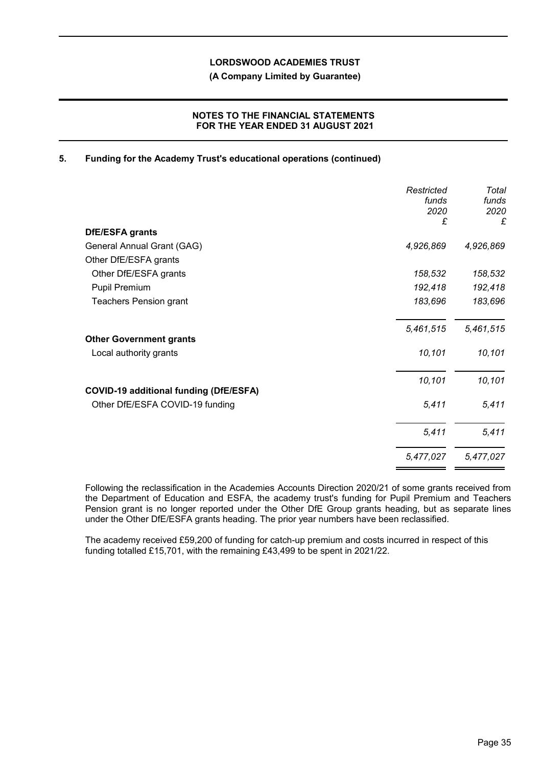**(A Company Limited by Guarantee)**

## **NOTES TO THE FINANCIAL STATEMENTS FOR THE YEAR ENDED 31 AUGUST 2021**

## **5. Funding for the Academy Trust's educational operations (continued)**

|                                               | Restricted<br>funds<br>2020<br>£ | Total<br>funds<br>2020<br>£ |
|-----------------------------------------------|----------------------------------|-----------------------------|
| <b>DfE/ESFA grants</b>                        |                                  |                             |
| General Annual Grant (GAG)                    | 4,926,869                        | 4,926,869                   |
| Other DfE/ESFA grants                         |                                  |                             |
| Other DfE/ESFA grants                         | 158,532                          | 158,532                     |
| Pupil Premium                                 | 192,418                          | 192,418                     |
| <b>Teachers Pension grant</b>                 | 183,696                          | 183,696                     |
| <b>Other Government grants</b>                | 5,461,515                        | 5,461,515                   |
| Local authority grants                        | 10,101                           | 10,101                      |
| <b>COVID-19 additional funding (DfE/ESFA)</b> | 10,101                           | 10,101                      |
| Other DfE/ESFA COVID-19 funding               | 5,411                            | 5,411                       |
|                                               | 5,411                            | 5,411                       |
|                                               | 5,477,027                        | 5,477,027                   |

Following the reclassification in the Academies Accounts Direction 2020/21 of some grants received from the Department of Education and ESFA, the academy trust's funding for Pupil Premium and Teachers Pension grant is no longer reported under the Other DfE Group grants heading, but as separate lines under the Other DfE/ESFA grants heading. The prior year numbers have been reclassified.

The academy received £59,200 of funding for catch-up premium and costs incurred in respect of this funding totalled £15,701, with the remaining £43,499 to be spent in 2021/22.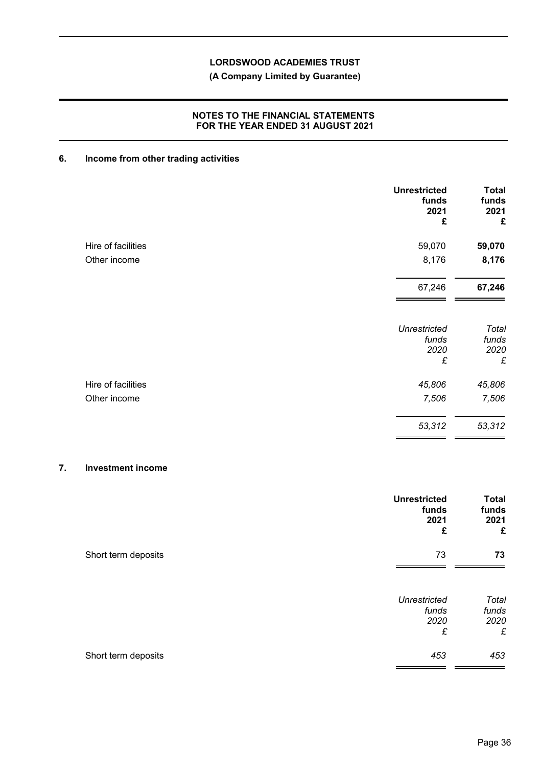## **(A Company Limited by Guarantee)**

## **NOTES TO THE FINANCIAL STATEMENTS FOR THE YEAR ENDED 31 AUGUST 2021**

## **6. Income from other trading activities**

|                    | <b>Unrestricted</b><br>funds<br>2021<br>£ | <b>Total</b><br>funds<br>2021<br>£ |
|--------------------|-------------------------------------------|------------------------------------|
| Hire of facilities | 59,070                                    | 59,070                             |
| Other income       | 8,176                                     | 8,176                              |
|                    | 67,246                                    | 67,246                             |
|                    | <b>Unrestricted</b><br>funds              | Total<br>funds                     |
|                    | 2020<br>$\pounds$                         | 2020<br>£                          |
| Hire of facilities | 45,806                                    | 45,806                             |
| Other income       | 7,506                                     | 7,506                              |
|                    | 53,312                                    | 53,312                             |

### **7. Investment income**

|                     | <b>Unrestricted</b><br>funds<br>2021<br>£ | <b>Total</b><br>funds<br>2021<br>£ |
|---------------------|-------------------------------------------|------------------------------------|
| Short term deposits | 73                                        | 73                                 |
|                     | <b>Unrestricted</b><br>funds<br>2020<br>£ | Total<br>funds<br>2020<br>£        |
| Short term deposits | 453                                       | 453                                |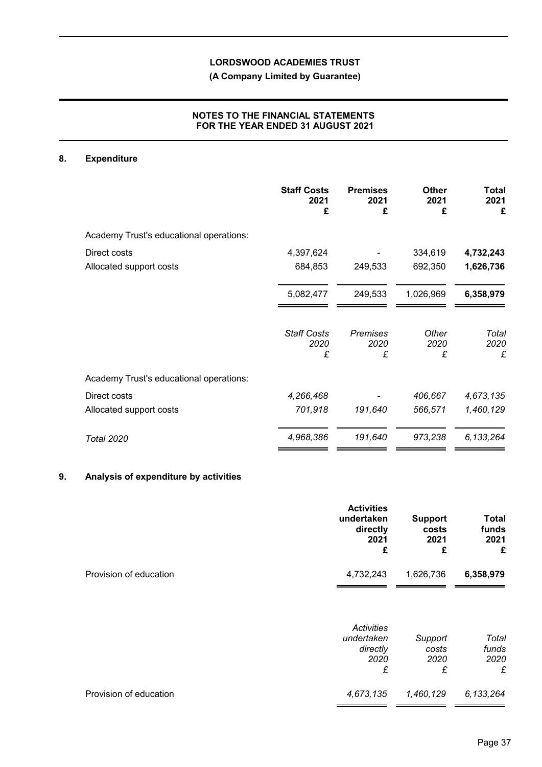## **(A Company Limited by Guarantee)**

## **NOTES TO THE FINANCIAL STATEMENTS FOR THE YEAR ENDED 31 AUGUST 2021**

## **8. Expenditure**

|                                         | <b>Staff Costs</b><br>2021<br>£ | <b>Premises</b><br>2021<br>£ | <b>Other</b><br>2021<br>£ | Total<br>2021<br>£ |
|-----------------------------------------|---------------------------------|------------------------------|---------------------------|--------------------|
| Academy Trust's educational operations: |                                 |                              |                           |                    |
| Direct costs                            | 4,397,624                       |                              | 334,619                   | 4,732,243          |
| Allocated support costs                 | 684,853                         | 249,533                      | 692,350                   | 1,626,736          |
|                                         | 5,082,477                       | 249,533                      | 1,026,969                 | 6,358,979          |
|                                         | <b>Staff Costs</b><br>2020<br>£ | <b>Premises</b><br>2020<br>£ | Other<br>2020<br>£        | Total<br>2020<br>£ |
| Academy Trust's educational operations: |                                 |                              |                           |                    |
| Direct costs                            | 4,266,468                       |                              | 406,667                   | 4,673,135          |
| Allocated support costs                 | 701,918                         | 191,640                      | 566,571                   | 1,460,129          |
| <b>Total 2020</b>                       | 4,968,386                       | 191,640                      | 973,238                   | 6, 133, 264        |

# **9. Analysis of expenditure by activities**

|                        | <b>Activities</b><br>undertaken<br>directly<br>2021<br>£ | <b>Support</b><br>costs<br>2021<br>£ | <b>Total</b><br>funds<br>2021<br>£ |
|------------------------|----------------------------------------------------------|--------------------------------------|------------------------------------|
| Provision of education | 4,732,243                                                | 1,626,736                            | 6,358,979                          |
|                        | Activities<br>undertaken<br>directly<br>2020<br>£        | Support<br>costs<br>2020<br>£        | Total<br>funds<br>2020<br>£        |
| Provision of education | 4,673,135                                                | 1,460,129                            | 6, 133, 264                        |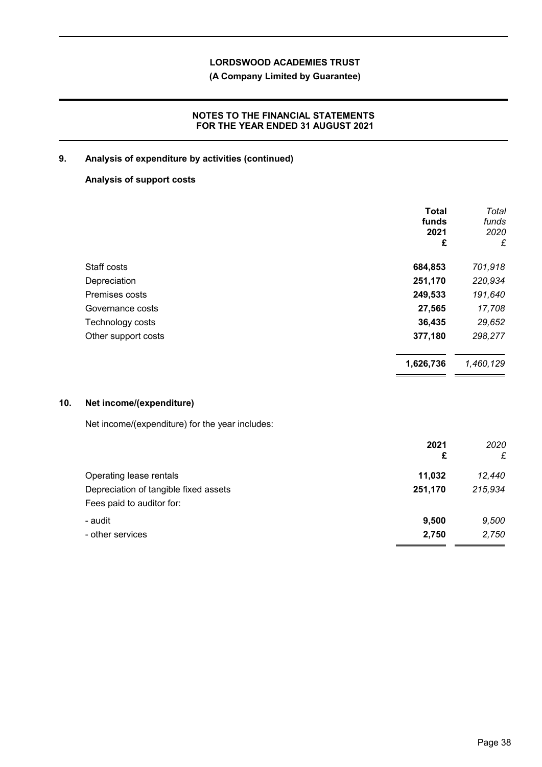**(A Company Limited by Guarantee)**

## **NOTES TO THE FINANCIAL STATEMENTS FOR THE YEAR ENDED 31 AUGUST 2021**

## **9. Analysis of expenditure by activities (continued)**

## **Analysis of support costs**

|                     | <b>Total</b><br>funds<br>2021<br>£ | Total<br>funds<br>2020<br>£ |
|---------------------|------------------------------------|-----------------------------|
| Staff costs         | 684,853                            | 701,918                     |
| Depreciation        | 251,170                            | 220,934                     |
| Premises costs      | 249,533                            | 191,640                     |
| Governance costs    | 27,565                             | 17,708                      |
| Technology costs    | 36,435                             | 29,652                      |
| Other support costs | 377,180                            | 298,277                     |
|                     | 1,626,736                          | 1,460,129                   |

## **10. Net income/(expenditure)**

Net income/(expenditure) for the year includes:

|                                       | 2021<br>£ | 2020<br>£ |
|---------------------------------------|-----------|-----------|
| Operating lease rentals               | 11,032    | 12,440    |
| Depreciation of tangible fixed assets | 251,170   | 215,934   |
| Fees paid to auditor for:             |           |           |
| - audit                               | 9,500     | 9,500     |
| - other services                      | 2,750     | 2,750     |
|                                       |           |           |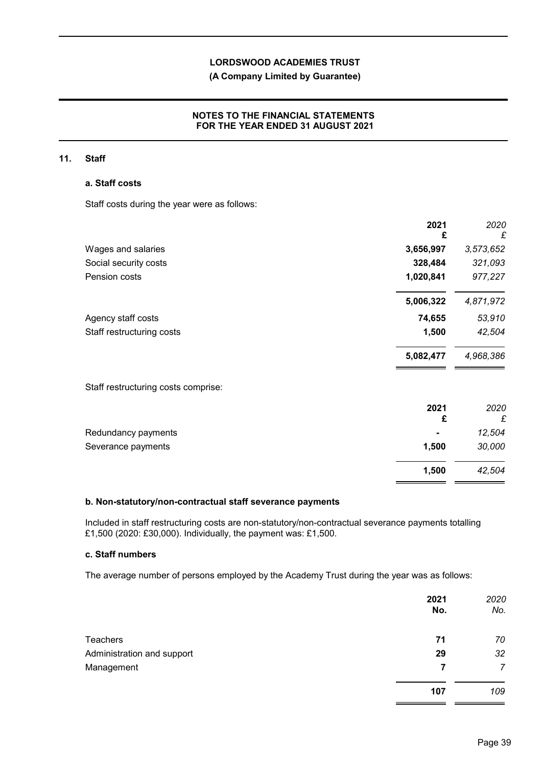## **(A Company Limited by Guarantee)**

## **NOTES TO THE FINANCIAL STATEMENTS FOR THE YEAR ENDED 31 AUGUST 2021**

### **11. Staff**

### **a. Staff costs**

Staff costs during the year were as follows:

|                                     | 2021<br>£ | 2020<br>£ |
|-------------------------------------|-----------|-----------|
| Wages and salaries                  | 3,656,997 | 3,573,652 |
| Social security costs               | 328,484   | 321,093   |
| Pension costs                       | 1,020,841 | 977,227   |
|                                     | 5,006,322 | 4,871,972 |
| Agency staff costs                  | 74,655    | 53,910    |
| Staff restructuring costs           | 1,500     | 42,504    |
|                                     | 5,082,477 | 4,968,386 |
| Staff restructuring costs comprise: |           |           |
|                                     | 2021      | 2020      |
|                                     | £         | £         |
| Redundancy payments                 |           | 12,504    |
| Severance payments                  | 1,500     | 30,000    |
|                                     | 1,500     | 42,504    |

#### **b. Non-statutory/non-contractual staff severance payments**

Included in staff restructuring costs are non-statutory/non-contractual severance payments totalling £1,500 (2020: £30,000). Individually, the payment was: £1,500.

### **c. Staff numbers**

The average number of persons employed by the Academy Trust during the year was as follows:

|                            | 2021<br>No. | 2020<br>No. |
|----------------------------|-------------|-------------|
| Teachers                   | 71          | 70          |
| Administration and support | 29          | 32          |
| Management                 | 7           | 7           |
|                            | 107         | 109         |

 $=$   $=$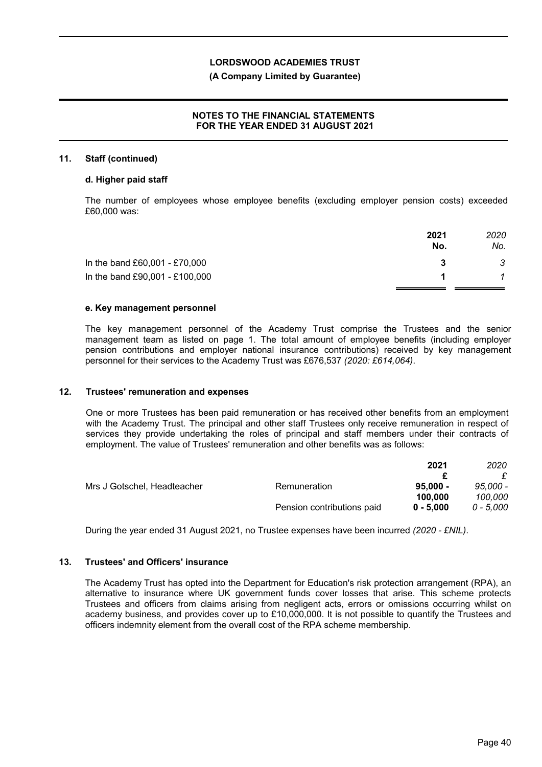### **(A Company Limited by Guarantee)**

## **NOTES TO THE FINANCIAL STATEMENTS FOR THE YEAR ENDED 31 AUGUST 2021**

#### **11. Staff (continued)**

#### **d. Higher paid staff**

The number of employees whose employee benefits (excluding employer pension costs) exceeded £60,000 was:

|                                | 2021<br>No. | 2020<br>No. |
|--------------------------------|-------------|-------------|
| In the band £60,001 - £70,000  |             | 3           |
| In the band £90,001 - £100,000 |             |             |
|                                |             |             |

### **e. Key management personnel**

The key management personnel of the Academy Trust comprise the Trustees and the senior management team as listed on page 1. The total amount of employee benefits (including employer pension contributions and employer national insurance contributions) received by key management personnel for their services to the Academy Trust was £676,537 *(2020: £614,064)*.

#### **12. Trustees' remuneration and expenses**

One or more Trustees has been paid remuneration or has received other benefits from an employment with the Academy Trust. The principal and other staff Trustees only receive remuneration in respect of services they provide undertaking the roles of principal and staff members under their contracts of employment. The value of Trustees' remuneration and other benefits was as follows:

|                             |                            | 2021        | 2020      |
|-----------------------------|----------------------------|-------------|-----------|
|                             |                            |             |           |
| Mrs J Gotschel, Headteacher | Remuneration               | $95.000 -$  | 95.000 -  |
|                             |                            | 100.000     | 100.000   |
|                             | Pension contributions paid | $0 - 5.000$ | 0 - 5.000 |

During the year ended 31 August 2021, no Trustee expenses have been incurred *(2020 - £NIL)*.

## **13. Trustees' and Officers' insurance**

The Academy Trust has opted into the Department for Education's risk protection arrangement (RPA), an alternative to insurance where UK government funds cover losses that arise. This scheme protects Trustees and officers from claims arising from negligent acts, errors or omissions occurring whilst on academy business, and provides cover up to £10,000,000. It is not possible to quantify the Trustees and officers indemnity element from the overall cost of the RPA scheme membership.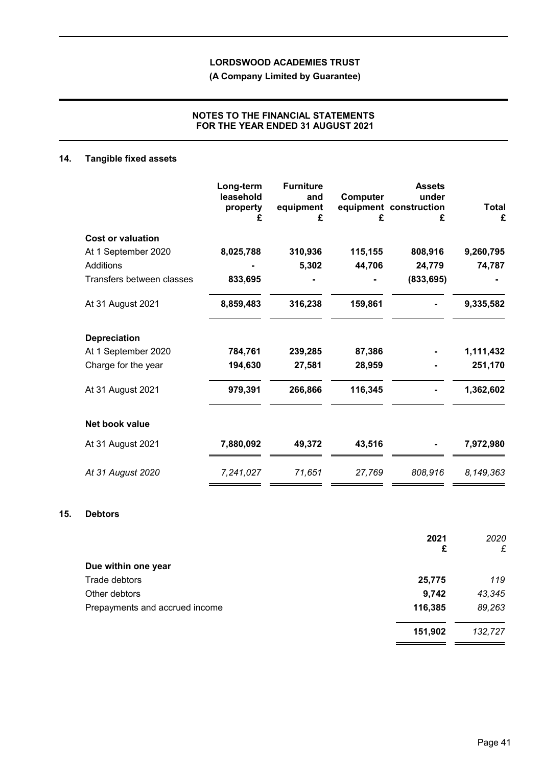**(A Company Limited by Guarantee)**

## **NOTES TO THE FINANCIAL STATEMENTS FOR THE YEAR ENDED 31 AUGUST 2021**

## **14. Tangible fixed assets**

|                           | Long-term<br>leasehold<br>property<br>£ | <b>Furniture</b><br>and<br>equipment<br>£ | Computer<br>£ | <b>Assets</b><br>under<br>equipment construction<br>£ | <b>Total</b><br>£ |
|---------------------------|-----------------------------------------|-------------------------------------------|---------------|-------------------------------------------------------|-------------------|
| <b>Cost or valuation</b>  |                                         |                                           |               |                                                       |                   |
| At 1 September 2020       | 8,025,788                               | 310,936                                   | 115,155       | 808,916                                               | 9,260,795         |
| Additions                 |                                         | 5,302                                     | 44,706        | 24,779                                                | 74,787            |
| Transfers between classes | 833,695                                 |                                           |               | (833, 695)                                            |                   |
| At 31 August 2021         | 8,859,483                               | 316,238                                   | 159,861       |                                                       | 9,335,582         |
| <b>Depreciation</b>       |                                         |                                           |               |                                                       |                   |
| At 1 September 2020       | 784,761                                 | 239,285                                   | 87,386        |                                                       | 1,111,432         |
| Charge for the year       | 194,630                                 | 27,581                                    | 28,959        |                                                       | 251,170           |
| At 31 August 2021         | 979,391                                 | 266,866                                   | 116,345       |                                                       | 1,362,602         |
| Net book value            |                                         |                                           |               |                                                       |                   |
| At 31 August 2021         | 7,880,092                               | 49,372                                    | 43,516        |                                                       | 7,972,980         |
| At 31 August 2020         | 7,241,027                               | 71,651                                    | 27,769        | 808,916                                               | 8,149,363         |

## **15. Debtors**

|                                | 2021    | 2020    |
|--------------------------------|---------|---------|
|                                | £       | £       |
| Due within one year            |         |         |
| Trade debtors                  | 25,775  | 119     |
| Other debtors                  | 9,742   | 43,345  |
| Prepayments and accrued income | 116,385 | 89,263  |
|                                | 151,902 | 132,727 |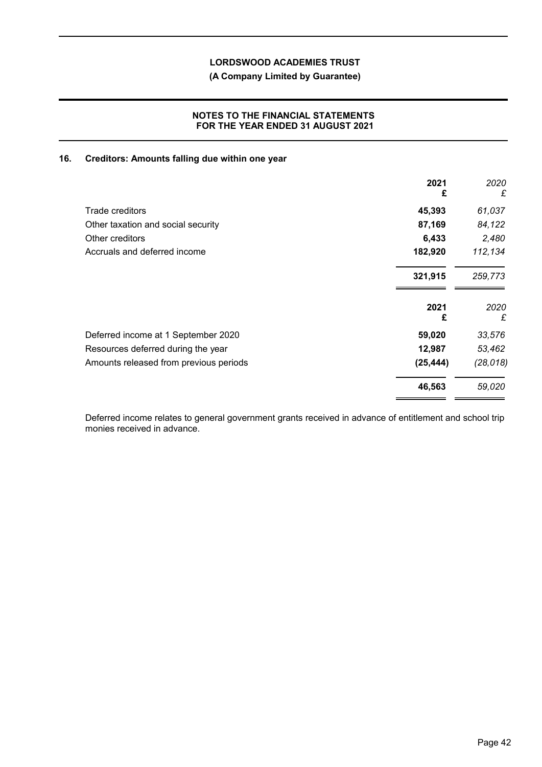## **(A Company Limited by Guarantee)**

### **NOTES TO THE FINANCIAL STATEMENTS FOR THE YEAR ENDED 31 AUGUST 2021**

## **16. Creditors: Amounts falling due within one year**

| 2021<br>£ | 2020<br>£ |
|-----------|-----------|
| 45,393    | 61,037    |
| 87,169    | 84,122    |
| 6,433     | 2,480     |
| 182,920   | 112,134   |
| 321,915   | 259,773   |
| 2021<br>£ | 2020<br>£ |
| 59,020    | 33,576    |
| 12,987    | 53,462    |
| (25, 444) | (28, 018) |
| 46,563    | 59,020    |
|           |           |

Deferred income relates to general government grants received in advance of entitlement and school trip monies received in advance.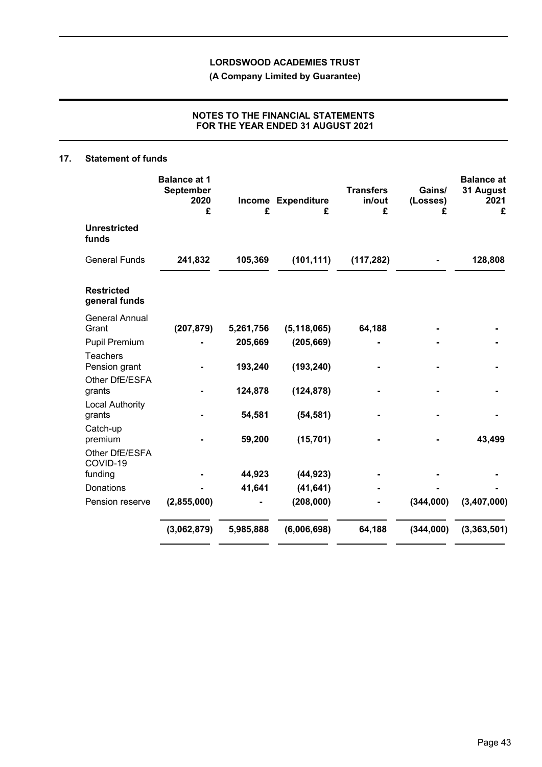**(A Company Limited by Guarantee)**

## **NOTES TO THE FINANCIAL STATEMENTS FOR THE YEAR ENDED 31 AUGUST 2021**

### **17. Statement of funds**

|                                                    | <b>Balance at 1</b><br>September<br>2020<br>£ | £         | Income Expenditure<br>£ | <b>Transfers</b><br>in/out<br>£ | Gains/<br>(Losses)<br>£ | <b>Balance at</b><br>31 August<br>2021<br>£ |
|----------------------------------------------------|-----------------------------------------------|-----------|-------------------------|---------------------------------|-------------------------|---------------------------------------------|
| <b>Unrestricted</b><br>funds                       |                                               |           |                         |                                 |                         |                                             |
| <b>General Funds</b>                               | 241,832                                       | 105,369   | (101, 111)              | (117, 282)                      |                         | 128,808                                     |
| <b>Restricted</b><br>general funds                 |                                               |           |                         |                                 |                         |                                             |
| <b>General Annual</b><br>Grant                     | (207, 879)                                    | 5,261,756 | (5, 118, 065)           | 64,188                          |                         |                                             |
| <b>Pupil Premium</b>                               |                                               | 205,669   | (205, 669)              |                                 |                         |                                             |
| Teachers<br>Pension grant                          |                                               | 193,240   | (193, 240)              |                                 |                         |                                             |
| Other DfE/ESFA<br>grants<br><b>Local Authority</b> |                                               | 124,878   | (124, 878)              |                                 |                         |                                             |
| grants                                             |                                               | 54,581    | (54, 581)               |                                 |                         |                                             |
| Catch-up<br>premium                                |                                               | 59,200    | (15, 701)               |                                 |                         | 43,499                                      |
| Other DfE/ESFA<br>COVID-19                         |                                               |           |                         |                                 |                         |                                             |
| funding                                            |                                               | 44,923    | (44, 923)               |                                 |                         |                                             |
| Donations                                          |                                               | 41,641    | (41, 641)<br>(208,000)  |                                 | (344,000)               | (3,407,000)                                 |
| Pension reserve                                    | (2,855,000)                                   |           |                         |                                 |                         |                                             |
|                                                    | (3,062,879)                                   | 5,985,888 | (6,006,698)             | 64,188                          | (344,000)               | (3, 363, 501)                               |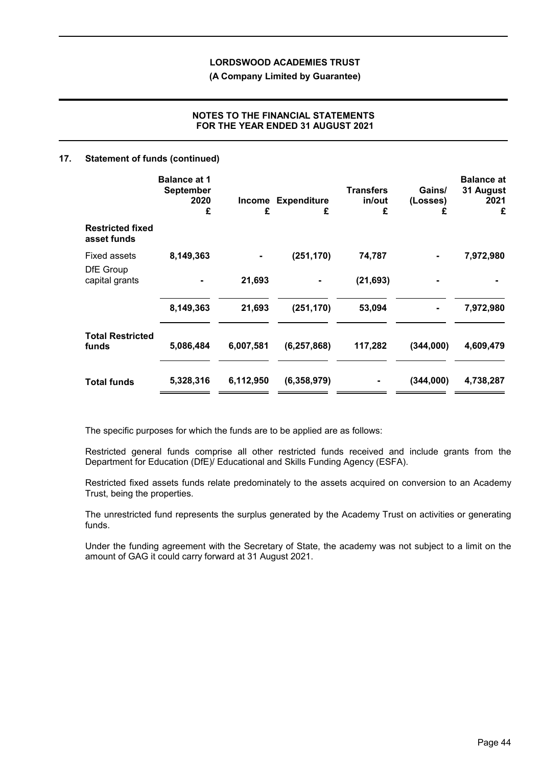**(A Company Limited by Guarantee)**

## **NOTES TO THE FINANCIAL STATEMENTS FOR THE YEAR ENDED 31 AUGUST 2021**

### **17. Statement of funds (continued)**

|                                        | <b>Balance at 1</b><br><b>September</b><br>2020<br>£ | Income<br>£ | <b>Expenditure</b><br>£ | <b>Transfers</b><br>in/out<br>£ | Gains/<br>(Losses)<br>£ | <b>Balance at</b><br>31 August<br>2021<br>£ |
|----------------------------------------|------------------------------------------------------|-------------|-------------------------|---------------------------------|-------------------------|---------------------------------------------|
| <b>Restricted fixed</b><br>asset funds |                                                      |             |                         |                                 |                         |                                             |
| Fixed assets                           | 8,149,363                                            |             | (251, 170)              | 74,787                          |                         | 7,972,980                                   |
| DfE Group<br>capital grants            |                                                      | 21,693      |                         | (21, 693)                       |                         |                                             |
|                                        | 8,149,363                                            | 21,693      | (251, 170)              | 53,094                          |                         | 7,972,980                                   |
| <b>Total Restricted</b><br>funds       | 5,086,484                                            | 6,007,581   | (6, 257, 868)           | 117,282                         | (344,000)               | 4,609,479                                   |
| <b>Total funds</b>                     | 5,328,316                                            | 6,112,950   | (6,358,979)             |                                 | (344,000)               | 4,738,287                                   |

The specific purposes for which the funds are to be applied are as follows:

Restricted general funds comprise all other restricted funds received and include grants from the Department for Education (DfE)/ Educational and Skills Funding Agency (ESFA).

Restricted fixed assets funds relate predominately to the assets acquired on conversion to an Academy Trust, being the properties.

The unrestricted fund represents the surplus generated by the Academy Trust on activities or generating funds.

Under the funding agreement with the Secretary of State, the academy was not subject to a limit on the amount of GAG it could carry forward at 31 August 2021.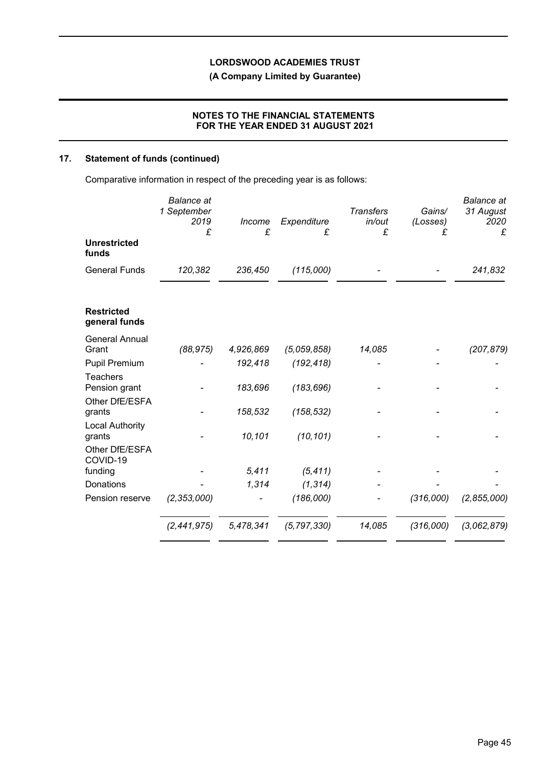**(A Company Limited by Guarantee)**

## **NOTES TO THE FINANCIAL STATEMENTS FOR THE YEAR ENDED 31 AUGUST 2021**

## **17. Statement of funds (continued)**

Comparative information in respect of the preceding year is as follows:

|                                    | <b>Balance</b> at<br>1 September<br>2019<br>£ | Income<br>£ | Expenditure<br>£ | <b>Transfers</b><br>in/out<br>£ | Gains/<br>(Losses)<br>£ | <b>Balance</b> at<br>31 August<br>2020<br>£ |
|------------------------------------|-----------------------------------------------|-------------|------------------|---------------------------------|-------------------------|---------------------------------------------|
| <b>Unrestricted</b><br>funds       |                                               |             |                  |                                 |                         |                                             |
| <b>General Funds</b>               | 120,382                                       | 236,450     | (115,000)        |                                 |                         | 241,832                                     |
| <b>Restricted</b><br>general funds |                                               |             |                  |                                 |                         |                                             |
| <b>General Annual</b><br>Grant     | (88, 975)                                     | 4,926,869   | (5,059,858)      | 14,085                          |                         | (207, 879)                                  |
| <b>Pupil Premium</b>               |                                               | 192,418     | (192, 418)       |                                 |                         |                                             |
| <b>Teachers</b>                    |                                               |             |                  |                                 |                         |                                             |
| Pension grant                      |                                               | 183,696     | (183, 696)       |                                 |                         |                                             |
| Other DfE/ESFA                     |                                               |             |                  |                                 |                         |                                             |
| grants                             |                                               | 158,532     | (158, 532)       |                                 |                         |                                             |
| <b>Local Authority</b><br>grants   |                                               | 10,101      | (10, 101)        |                                 |                         |                                             |
| Other DfE/ESFA<br>COVID-19         |                                               |             |                  |                                 |                         |                                             |
| funding                            |                                               | 5,411       | (5, 411)         |                                 |                         |                                             |
| <b>Donations</b>                   |                                               | 1,314       | (1, 314)         |                                 |                         |                                             |
| Pension reserve                    | (2, 353, 000)                                 |             | (186,000)        |                                 | (316,000)               | (2,855,000)                                 |
|                                    | (2,441,975)                                   | 5,478,341   | (5, 797, 330)    | 14,085                          | (316,000)               | (3,062,879)                                 |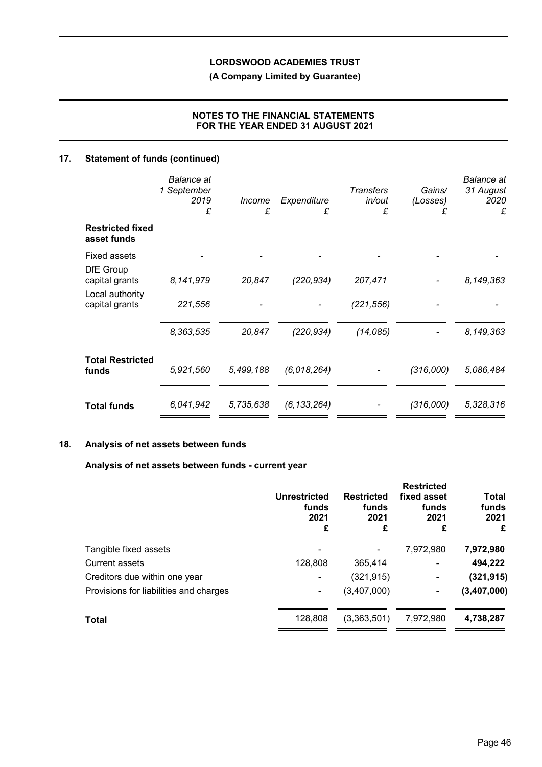**(A Company Limited by Guarantee)**

## **NOTES TO THE FINANCIAL STATEMENTS FOR THE YEAR ENDED 31 AUGUST 2021**

## **17. Statement of funds (continued)**

|                                        | Balance at<br>1 September<br>2019<br>£ | <i>Income</i><br>£ | Expenditure<br>£ | <b>Transfers</b><br>in/out<br>£ | Gains/<br>(Losses)<br>£ | <b>Balance</b> at<br>31 August<br>2020<br>£ |
|----------------------------------------|----------------------------------------|--------------------|------------------|---------------------------------|-------------------------|---------------------------------------------|
| <b>Restricted fixed</b><br>asset funds |                                        |                    |                  |                                 |                         |                                             |
| <b>Fixed assets</b>                    |                                        |                    |                  |                                 |                         |                                             |
| DfE Group<br>capital grants            | 8,141,979                              | 20,847             | (220, 934)       | 207,471                         |                         | 8,149,363                                   |
| Local authority<br>capital grants      | 221,556                                |                    |                  | (221, 556)                      |                         |                                             |
|                                        | 8,363,535                              | 20,847             | (220, 934)       | (14,085)                        |                         | 8,149,363                                   |
| <b>Total Restricted</b><br>funds       | 5,921,560                              | 5,499,188          | (6,018,264)      |                                 | (316,000)               | 5,086,484                                   |
| <b>Total funds</b>                     | 6,041,942                              | 5,735,638          | (6, 133, 264)    |                                 | (316,000)               | 5,328,316                                   |

## **18. Analysis of net assets between funds**

### **Analysis of net assets between funds - current year**

|                                        | <b>Unrestricted</b><br>funds<br>2021<br>£ | <b>Restricted</b><br>funds<br>2021<br>£ | <b>Restricted</b><br>fixed asset<br>funds<br>2021<br>£ | Total<br>funds<br>2021<br>£ |
|----------------------------------------|-------------------------------------------|-----------------------------------------|--------------------------------------------------------|-----------------------------|
| Tangible fixed assets                  |                                           |                                         | 7,972,980                                              | 7,972,980                   |
| Current assets                         | 128,808                                   | 365,414                                 | ۰                                                      | 494,222                     |
| Creditors due within one year          |                                           | (321, 915)                              | ۰                                                      | (321, 915)                  |
| Provisions for liabilities and charges | ۰                                         | (3,407,000)                             | ۰                                                      | (3,407,000)                 |
| <b>Total</b>                           | 128,808                                   | (3,363,501)                             | 7,972,980                                              | 4,738,287                   |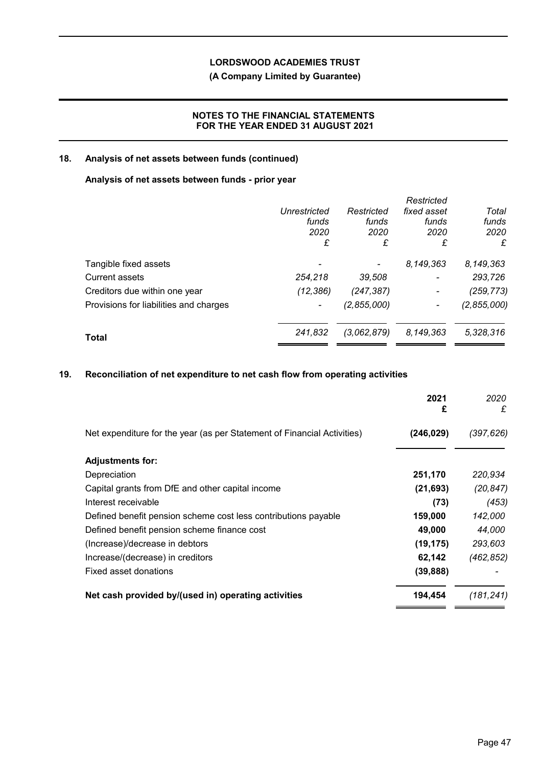## **(A Company Limited by Guarantee)**

## **NOTES TO THE FINANCIAL STATEMENTS FOR THE YEAR ENDED 31 AUGUST 2021**

## **18. Analysis of net assets between funds (continued)**

## **Analysis of net assets between funds - prior year**

|                                        |                     |             | Restricted               |             |
|----------------------------------------|---------------------|-------------|--------------------------|-------------|
|                                        | <b>Unrestricted</b> | Restricted  | fixed asset              | Total       |
|                                        | funds               | funds       | funds                    | funds       |
|                                        | 2020                | 2020        | 2020                     | 2020        |
|                                        | £                   | £           | £                        | £           |
| Tangible fixed assets                  |                     |             | 8,149,363                | 8,149,363   |
| Current assets                         | 254,218             | 39,508      | $\overline{\phantom{a}}$ | 293,726     |
| Creditors due within one year          | (12, 386)           | (247, 387)  | $\blacksquare$           | (259, 773)  |
| Provisions for liabilities and charges |                     | (2,855,000) |                          | (2,855,000) |
| Total                                  | 241,832             | (3,062,879) | 8,149,363                | 5,328,316   |
|                                        |                     |             |                          |             |

## **19. Reconciliation of net expenditure to net cash flow from operating activities**

|                                                                         | 2021<br>£  | 2020<br>£  |
|-------------------------------------------------------------------------|------------|------------|
| Net expenditure for the year (as per Statement of Financial Activities) | (246, 029) | (397,626)  |
| <b>Adjustments for:</b>                                                 |            |            |
| Depreciation                                                            | 251,170    | 220,934    |
| Capital grants from DfE and other capital income                        | (21, 693)  | (20, 847)  |
| Interest receivable                                                     | (73)       | (453)      |
| Defined benefit pension scheme cost less contributions payable          | 159,000    | 142,000    |
| Defined benefit pension scheme finance cost                             | 49,000     | 44,000     |
| (Increase)/decrease in debtors                                          | (19, 175)  | 293,603    |
| Increase/(decrease) in creditors                                        | 62,142     | (462, 852) |
| Fixed asset donations                                                   | (39, 888)  |            |
| Net cash provided by/(used in) operating activities                     | 194,454    | (181,241)  |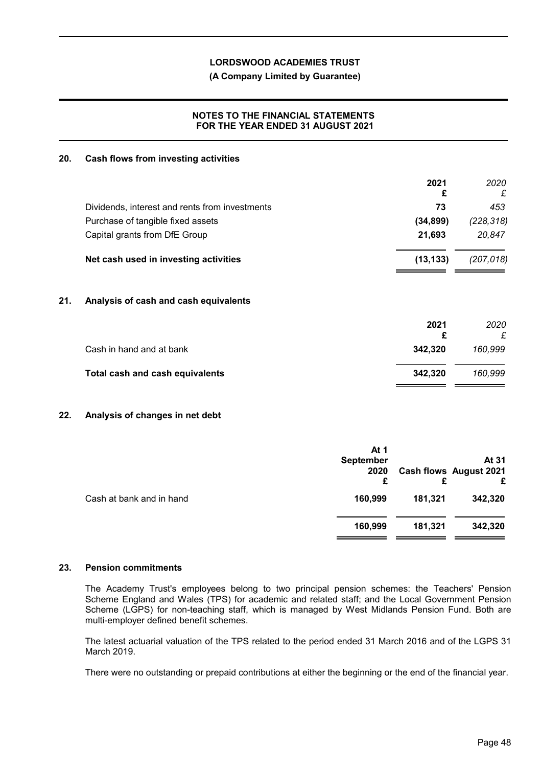**(A Company Limited by Guarantee)**

## **NOTES TO THE FINANCIAL STATEMENTS FOR THE YEAR ENDED 31 AUGUST 2021**

### **20. Cash flows from investing activities**

|     |                                                | 2021<br>£ | 2020<br>£  |
|-----|------------------------------------------------|-----------|------------|
|     | Dividends, interest and rents from investments | 73        | 453        |
|     | Purchase of tangible fixed assets              | (34, 899) | (228, 318) |
|     | Capital grants from DfE Group                  | 21,693    | 20,847     |
|     | Net cash used in investing activities          | (13, 133) | (207, 018) |
| 21. | Analysis of cash and cash equivalents          |           |            |
|     |                                                | 2021<br>£ | 2020<br>£  |
|     | Cash in hand and at bank                       | 342,320   | 160,999    |
|     | <b>Total cash and cash equivalents</b>         | 342,320   | 160,999    |

## **22. Analysis of changes in net debt**

|                          | At 1<br><b>September</b><br>2020 |         | At 31<br><b>Cash flows August 2021</b><br>£ |
|--------------------------|----------------------------------|---------|---------------------------------------------|
| Cash at bank and in hand | 160,999                          | 181,321 | 342,320                                     |
|                          | 160,999                          | 181,321 | 342,320                                     |

#### **23. Pension commitments**

The Academy Trust's employees belong to two principal pension schemes: the Teachers' Pension Scheme England and Wales (TPS) for academic and related staff; and the Local Government Pension Scheme (LGPS) for non-teaching staff, which is managed by West Midlands Pension Fund. Both are multi-employer defined benefit schemes.

The latest actuarial valuation of the TPS related to the period ended 31 March 2016 and of the LGPS 31 March 2019.

There were no outstanding or prepaid contributions at either the beginning or the end of the financial year.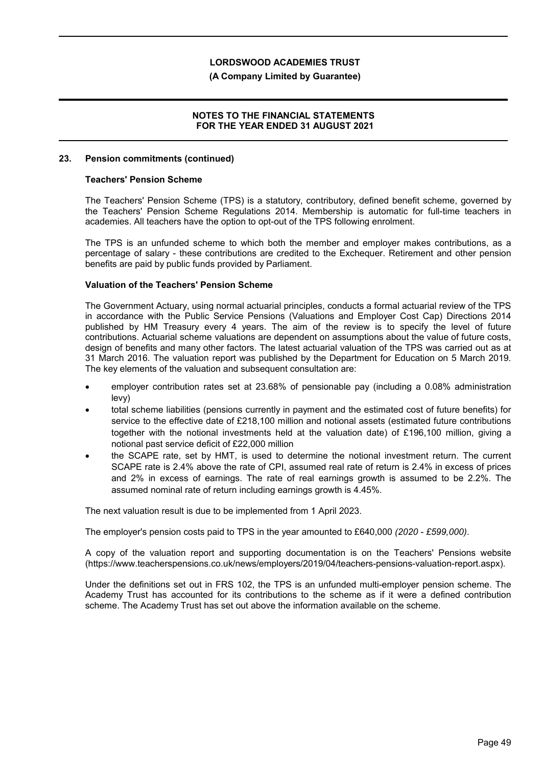### **(A Company Limited by Guarantee)**

### **NOTES TO THE FINANCIAL STATEMENTS FOR THE YEAR ENDED 31 AUGUST 2021**

#### **23. Pension commitments (continued)**

#### **Teachers' Pension Scheme**

The Teachers' Pension Scheme (TPS) is a statutory, contributory, defined benefit scheme, governed by the Teachers' Pension Scheme Regulations 2014. Membership is automatic for full-time teachers in academies. All teachers have the option to opt-out of the TPS following enrolment.

The TPS is an unfunded scheme to which both the member and employer makes contributions, as a percentage of salary - these contributions are credited to the Exchequer. Retirement and other pension benefits are paid by public funds provided by Parliament.

### **Valuation of the Teachers' Pension Scheme**

The Government Actuary, using normal actuarial principles, conducts a formal actuarial review of the TPS in accordance with the Public Service Pensions (Valuations and Employer Cost Cap) Directions 2014 published by HM Treasury every 4 years. The aim of the review is to specify the level of future contributions. Actuarial scheme valuations are dependent on assumptions about the value of future costs, design of benefits and many other factors. The latest actuarial valuation of the TPS was carried out as at 31 March 2016. The valuation report was published by the Department for Education on 5 March 2019. The key elements of the valuation and subsequent consultation are:

- employer contribution rates set at 23.68% of pensionable pay (including a 0.08% administration levy)
- total scheme liabilities (pensions currently in payment and the estimated cost of future benefits) for service to the effective date of £218,100 million and notional assets (estimated future contributions together with the notional investments held at the valuation date) of £196,100 million, giving a notional past service deficit of £22,000 million
- the SCAPE rate, set by HMT, is used to determine the notional investment return. The current SCAPE rate is 2.4% above the rate of CPI, assumed real rate of return is 2.4% in excess of prices and 2% in excess of earnings. The rate of real earnings growth is assumed to be 2.2%. The assumed nominal rate of return including earnings growth is 4.45%.

The next valuation result is due to be implemented from 1 April 2023.

The employer's pension costs paid to TPS in the year amounted to £640,000 *(2020 - £599,000)*.

A copy of the valuation report and supporting documentation is on the Teachers' Pensions website (https://www.teacherspensions.co.uk/news/employers/2019/04/teachers-pensions-valuation-report.aspx).

Under the definitions set out in FRS 102, the TPS is an unfunded multi-employer pension scheme. The Academy Trust has accounted for its contributions to the scheme as if it were a defined contribution scheme. The Academy Trust has set out above the information available on the scheme.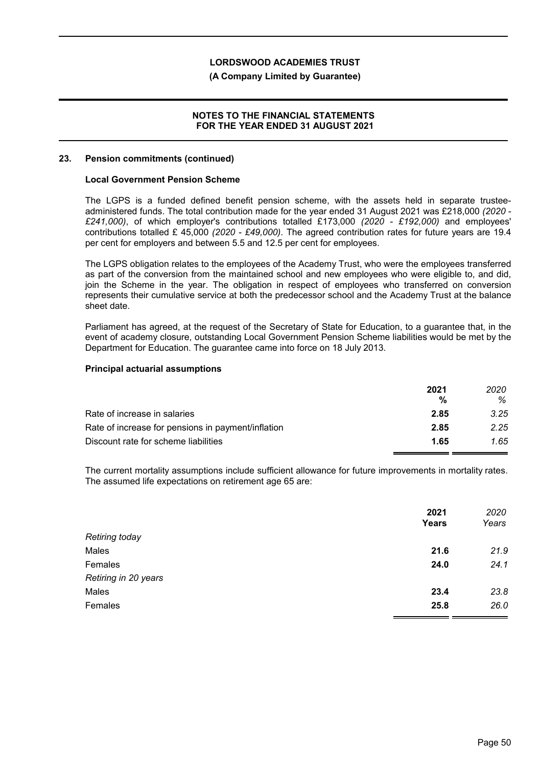### **(A Company Limited by Guarantee)**

### **NOTES TO THE FINANCIAL STATEMENTS FOR THE YEAR ENDED 31 AUGUST 2021**

#### **23. Pension commitments (continued)**

#### **Local Government Pension Scheme**

The LGPS is a funded defined benefit pension scheme, with the assets held in separate trusteeadministered funds. The total contribution made for the year ended 31 August 2021 was £218,000 *(2020 - £241,000)*, of which employer's contributions totalled £173,000 *(2020 - £192,000)* and employees' contributions totalled £ 45,000 *(2020 - £49,000)*. The agreed contribution rates for future years are 19.4 per cent for employers and between 5.5 and 12.5 per cent for employees.

The LGPS obligation relates to the employees of the Academy Trust, who were the employees transferred as part of the conversion from the maintained school and new employees who were eligible to, and did, join the Scheme in the year. The obligation in respect of employees who transferred on conversion represents their cumulative service at both the predecessor school and the Academy Trust at the balance sheet date.

Parliament has agreed, at the request of the Secretary of State for Education, to a guarantee that, in the event of academy closure, outstanding Local Government Pension Scheme liabilities would be met by the Department for Education. The guarantee came into force on 18 July 2013.

#### **Principal actuarial assumptions**

|                                                    | 2021 | 2020 |
|----------------------------------------------------|------|------|
|                                                    | %    | ℅    |
| Rate of increase in salaries                       | 2.85 | 3.25 |
| Rate of increase for pensions in payment/inflation | 2.85 | 2.25 |
| Discount rate for scheme liabilities               | 1.65 | 1.65 |

The current mortality assumptions include sufficient allowance for future improvements in mortality rates. The assumed life expectations on retirement age 65 are:

|                      | 2021         | 2020  |
|----------------------|--------------|-------|
|                      | <b>Years</b> | Years |
| Retiring today       |              |       |
| Males                | 21.6         | 21.9  |
| Females              | 24.0         | 24.1  |
| Retiring in 20 years |              |       |
| Males                | 23.4         | 23.8  |
| Females              | 25.8         | 26.0  |
|                      |              |       |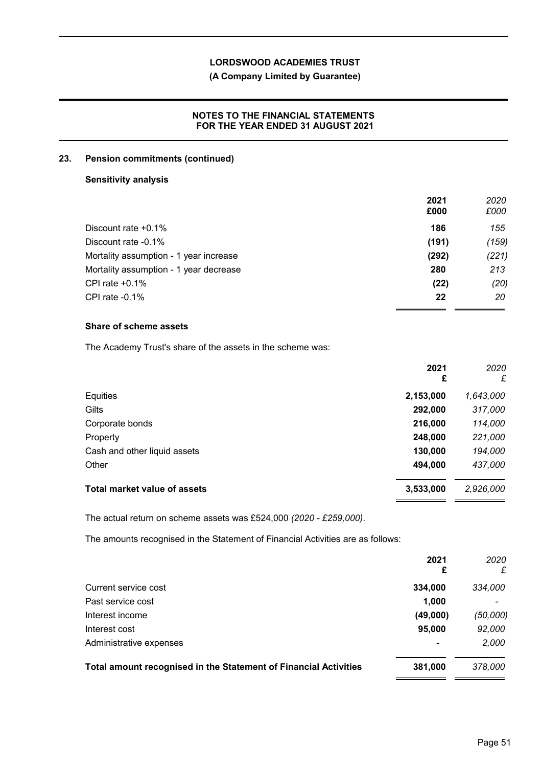## **(A Company Limited by Guarantee)**

## **NOTES TO THE FINANCIAL STATEMENTS FOR THE YEAR ENDED 31 AUGUST 2021**

### **23. Pension commitments (continued)**

### **Sensitivity analysis**

|                                        | 2021<br>£000 | 2020<br>£000 |
|----------------------------------------|--------------|--------------|
| Discount rate $+0.1\%$                 | 186          | 155          |
| Discount rate -0.1%                    | (191)        | (159)        |
| Mortality assumption - 1 year increase | (292)        | (221)        |
| Mortality assumption - 1 year decrease | 280          | 213          |
| CPI rate $+0.1\%$                      | (22)         | (20)         |
| CPI rate $-0.1\%$                      | 22           | 20           |

## **Share of scheme assets**

The Academy Trust's share of the assets in the scheme was:

|                              | 2021<br>£ | 2020<br>£ |
|------------------------------|-----------|-----------|
| Equities                     | 2,153,000 | 1,643,000 |
| Gilts                        | 292,000   | 317,000   |
| Corporate bonds              | 216,000   | 114,000   |
| Property                     | 248,000   | 221,000   |
| Cash and other liquid assets | 130,000   | 194,000   |
| Other                        | 494,000   | 437,000   |
| Total market value of assets | 3,533,000 | 2,926,000 |

The actual return on scheme assets was £524,000 *(2020 - £259,000)*.

The amounts recognised in the Statement of Financial Activities are as follows:

|                                                                  | 2021<br>£      | 2020<br>£ |
|------------------------------------------------------------------|----------------|-----------|
| Current service cost                                             | 334,000        | 334,000   |
| Past service cost                                                | 1,000          |           |
| Interest income                                                  | (49,000)       | (50,000)  |
| Interest cost                                                    | 95,000         | 92,000    |
| Administrative expenses                                          | $\blacksquare$ | 2,000     |
| Total amount recognised in the Statement of Financial Activities | 381,000        | 378,000   |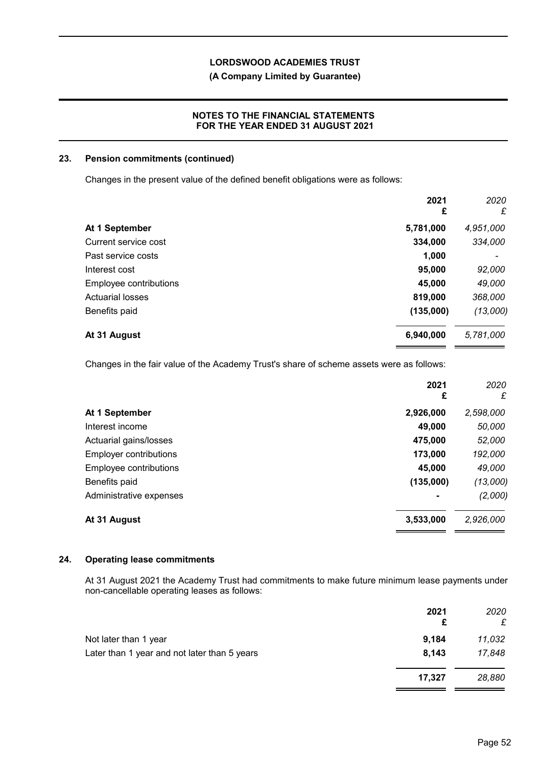**(A Company Limited by Guarantee)**

## **NOTES TO THE FINANCIAL STATEMENTS FOR THE YEAR ENDED 31 AUGUST 2021**

### **23. Pension commitments (continued)**

Changes in the present value of the defined benefit obligations were as follows:

|                         | 2021<br>£ | 2020<br>£ |
|-------------------------|-----------|-----------|
| At 1 September          | 5,781,000 | 4,951,000 |
| Current service cost    | 334,000   | 334,000   |
| Past service costs      | 1,000     |           |
| Interest cost           | 95,000    | 92,000    |
| Employee contributions  | 45,000    | 49,000    |
| <b>Actuarial losses</b> | 819,000   | 368,000   |
| Benefits paid           | (135,000) | (13,000)  |
| At 31 August            | 6,940,000 | 5,781,000 |

Changes in the fair value of the Academy Trust's share of scheme assets were as follows:

| 2021<br>£      | 2020<br>£ |
|----------------|-----------|
| 2,926,000      | 2,598,000 |
| 49,000         | 50,000    |
| 475,000        | 52,000    |
| 173,000        | 192,000   |
| 45,000         | 49,000    |
| (135,000)      | (13,000)  |
| $\blacksquare$ | (2,000)   |
| 3,533,000      | 2,926,000 |
|                |           |

#### **24. Operating lease commitments**

At 31 August 2021 the Academy Trust had commitments to make future minimum lease payments under non-cancellable operating leases as follows:

|                                              | 2021   | 2020<br>£ |
|----------------------------------------------|--------|-----------|
| Not later than 1 year                        | 9,184  | 11,032    |
| Later than 1 year and not later than 5 years | 8,143  | 17,848    |
|                                              | 17,327 | 28,880    |